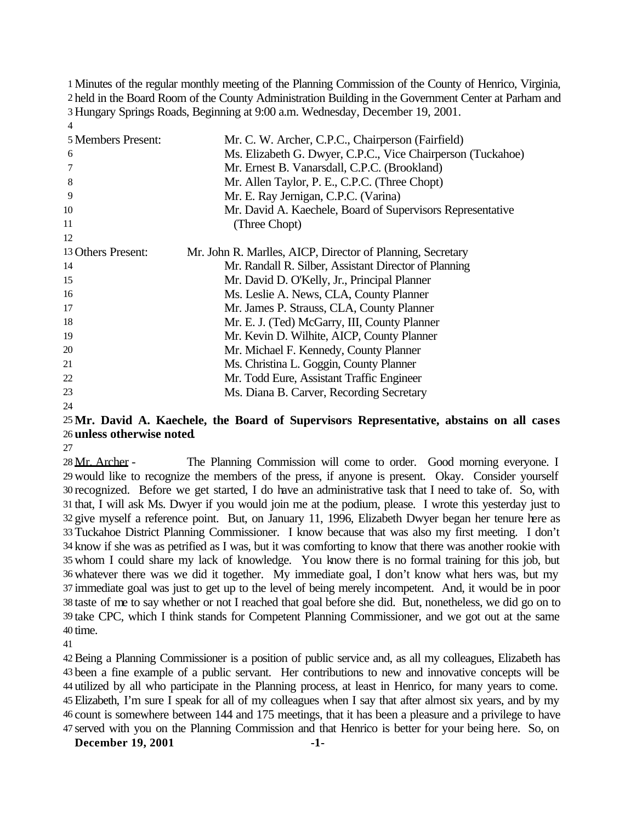Minutes of the regular monthly meeting of the Planning Commission of the County of Henrico, Virginia, held in the Board Room of the County Administration Building in the Government Center at Parham and Hungary Springs Roads, Beginning at 9:00 a.m. Wednesday, December 19, 2001. 

| 5 Members Present: | Mr. C. W. Archer, C.P.C., Chairperson (Fairfield)           |
|--------------------|-------------------------------------------------------------|
| 6                  | Ms. Elizabeth G. Dwyer, C.P.C., Vice Chairperson (Tuckahoe) |
|                    | Mr. Ernest B. Vanarsdall, C.P.C. (Brookland)                |
| 8                  | Mr. Allen Taylor, P. E., C.P.C. (Three Chopt)               |
| 9                  | Mr. E. Ray Jernigan, C.P.C. (Varina)                        |
| 10                 | Mr. David A. Kaechele, Board of Supervisors Representative  |
| 11                 | (Three Chopt)                                               |
| 12                 |                                                             |
| 13 Others Present: | Mr. John R. Marlles, AICP, Director of Planning, Secretary  |
| 14                 | Mr. Randall R. Silber, Assistant Director of Planning       |
| 15                 | Mr. David D. O'Kelly, Jr., Principal Planner                |
| 16                 | Ms. Leslie A. News, CLA, County Planner                     |
| 17                 | Mr. James P. Strauss, CLA, County Planner                   |
| 18                 | Mr. E. J. (Ted) McGarry, III, County Planner                |
| 19                 | Mr. Kevin D. Wilhite, AICP, County Planner                  |
| 20                 | Mr. Michael F. Kennedy, County Planner                      |
| 21                 | Ms. Christina L. Goggin, County Planner                     |
| 22                 | Mr. Todd Eure, Assistant Traffic Engineer                   |
| 23                 | Ms. Diana B. Carver, Recording Secretary                    |
| 24                 |                                                             |

# **Mr. David A. Kaechele, the Board of Supervisors Representative, abstains on all cases unless otherwise noted**.

28 Mr. Archer - The Planning Commission will come to order. Good morning everyone. I would like to recognize the members of the press, if anyone is present. Okay. Consider yourself recognized. Before we get started, I do have an administrative task that I need to take of. So, with that, I will ask Ms. Dwyer if you would join me at the podium, please. I wrote this yesterday just to give myself a reference point. But, on January 11, 1996, Elizabeth Dwyer began her tenure here as Tuckahoe District Planning Commissioner. I know because that was also my first meeting. I don't know if she was as petrified as I was, but it was comforting to know that there was another rookie with whom I could share my lack of knowledge. You know there is no formal training for this job, but whatever there was we did it together. My immediate goal, I don't know what hers was, but my immediate goal was just to get up to the level of being merely incompetent. And, it would be in poor taste of me to say whether or not I reached that goal before she did. But, nonetheless, we did go on to take CPC, which I think stands for Competent Planning Commissioner, and we got out at the same time.

Being a Planning Commissioner is a position of public service and, as all my colleagues, Elizabeth has been a fine example of a public servant. Her contributions to new and innovative concepts will be utilized by all who participate in the Planning process, at least in Henrico, for many years to come. Elizabeth, I'm sure I speak for all of my colleagues when I say that after almost six years, and by my count is somewhere between 144 and 175 meetings, that it has been a pleasure and a privilege to have served with you on the Planning Commission and that Henrico is better for your being here. So, on

**December 19, 2001 -1-**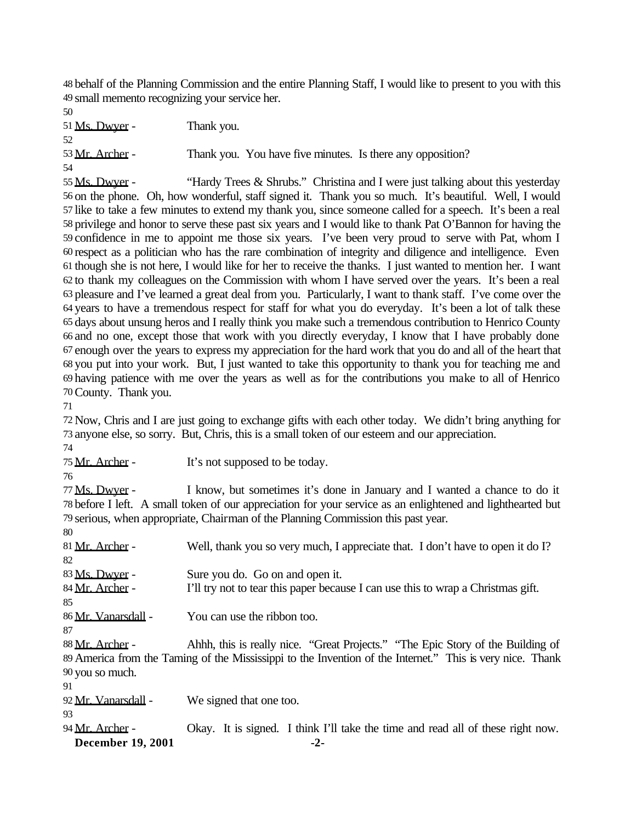behalf of the Planning Commission and the entire Planning Staff, I would like to present to you with this small memento recognizing your service her.

51 Ms. Dwyer - Thank you. 53 Mr. Archer - Thank you. You have five minutes. Is there any opposition? 

55 Ms. Dwyer - "Hardy Trees & Shrubs." Christina and I were just talking about this yesterday on the phone. Oh, how wonderful, staff signed it. Thank you so much. It's beautiful. Well, I would like to take a few minutes to extend my thank you, since someone called for a speech. It's been a real privilege and honor to serve these past six years and I would like to thank Pat O'Bannon for having the confidence in me to appoint me those six years. I've been very proud to serve with Pat, whom I respect as a politician who has the rare combination of integrity and diligence and intelligence. Even though she is not here, I would like for her to receive the thanks. I just wanted to mention her. I want to thank my colleagues on the Commission with whom I have served over the years. It's been a real pleasure and I've learned a great deal from you. Particularly, I want to thank staff. I've come over the years to have a tremendous respect for staff for what you do everyday. It's been a lot of talk these days about unsung heros and I really think you make such a tremendous contribution to Henrico County and no one, except those that work with you directly everyday, I know that I have probably done enough over the years to express my appreciation for the hard work that you do and all of the heart that you put into your work. But, I just wanted to take this opportunity to thank you for teaching me and having patience with me over the years as well as for the contributions you make to all of Henrico County. Thank you.

 Now, Chris and I are just going to exchange gifts with each other today. We didn't bring anything for anyone else, so sorry. But, Chris, this is a small token of our esteem and our appreciation.

75 Mr. Archer - It's not supposed to be today.

 Ms. Dwyer - I know, but sometimes it's done in January and I wanted a chance to do it before I left. A small token of our appreciation for your service as an enlightened and lighthearted but serious, when appropriate, Chairman of the Planning Commission this past year.

| 80                  |                                                                                                           |
|---------------------|-----------------------------------------------------------------------------------------------------------|
| 81 Mr. Archer -     | Well, thank you so very much, I appreciate that. I don't have to open it do I?                            |
| 82                  |                                                                                                           |
| 83 Ms. Dwyer -      | Sure you do. Go on and open it.                                                                           |
| 84 Mr. Archer -     | I'll try not to tear this paper because I can use this to wrap a Christmas gift.                          |
| 85                  |                                                                                                           |
| 86 Mr. Vanarsdall - | You can use the ribbon too.                                                                               |
| 87                  |                                                                                                           |
| 88 Mr. Archer -     | Ahhh, this is really nice. "Great Projects." "The Epic Story of the Building of                           |
|                     | 89 America from the Taming of the Mississippi to the Invention of the Internet." This is very nice. Thank |
| 90 you so much.     |                                                                                                           |
| 91                  |                                                                                                           |
| 92 Mr. Vanarsdall - | We signed that one too.                                                                                   |
| 93                  |                                                                                                           |
| 94 Mr. Archer -     | Okay. It is signed. I think I'll take the time and read all of these right now.                           |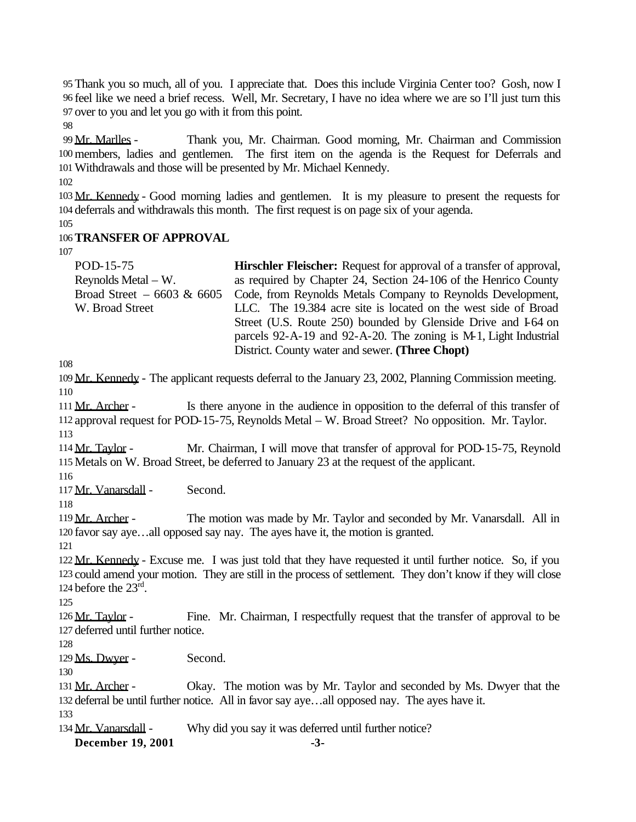95 Thank you so much, all of you. I appreciate that. Does this include Virginia Center too? Gosh, now I 96 feel like we need a brief recess. Well, Mr. Secretary, I have no idea where we are so I'll just turn this 97 over to you and let you go with it from this point.

98

99 Mr. Marlles - Thank you, Mr. Chairman. Good morning, Mr. Chairman and Commission 100 members, ladies and gentlemen. The first item on the agenda is the Request for Deferrals and 101Withdrawals and those will be presented by Mr. Michael Kennedy.

102

103 Mr. Kennedy - Good morning ladies and gentlemen. It is my pleasure to present the requests for 104 deferrals and withdrawals this month. The first request is on page six of your agenda.

105

# 106**TRANSFER OF APPROVAL**

107

| POD-15-75                    | <b>Hirschler Fleischer:</b> Request for approval of a transfer of approval, |
|------------------------------|-----------------------------------------------------------------------------|
| Reynolds Metal $-$ W.        | as required by Chapter 24, Section 24-106 of the Henrico County             |
| Broad Street $-6603 \& 6605$ | Code, from Reynolds Metals Company to Reynolds Development,                 |
| W. Broad Street              | LLC. The 19.384 acre site is located on the west side of Broad              |
|                              | Street (U.S. Route 250) bounded by Glenside Drive and 164 on                |
|                              | parcels 92-A-19 and 92-A-20. The zoning is M-1, Light Industrial            |
|                              | District. County water and sewer. (Three Chopt)                             |

108

109 Mr. Kennedy - The applicant requests deferral to the January 23, 2002, Planning Commission meeting. 110

111 Mr. Archer - Is there anyone in the audience in opposition to the deferral of this transfer of 112 approval request for POD-15-75, Reynolds Metal – W. Broad Street? No opposition. Mr. Taylor. 113

114 Mr. Taylor - Mr. Chairman, I will move that transfer of approval for POD-15-75, Reynold 115 Metals on W. Broad Street, be deferred to January 23 at the request of the applicant.

116

117 Mr. Vanarsdall - Second.

118

119 Mr. Archer - The motion was made by Mr. Taylor and seconded by Mr. Vanarsdall. All in 120 favor say aye…all opposed say nay. The ayes have it, the motion is granted.

121

122 Mr. Kennedy - Excuse me. I was just told that they have requested it until further notice. So, if you 123 could amend your motion. They are still in the process of settlement. They don't know if they will close 124 before the  $23<sup>rd</sup>$ .

125

126 Mr. Taylor - Fine. Mr. Chairman, I respectfully request that the transfer of approval to be 127 deferred until further notice.

128

129 Ms. Dwyer - Second.

130

131 Mr. Archer - Okay. The motion was by Mr. Taylor and seconded by Ms. Dwyer that the 132 deferral be until further notice. All in favor say aye...all opposed nay. The ayes have it.

133

134 Mr. Vanarsdall - Why did you say it was deferred until further notice?

**December 19, 2001 -3-**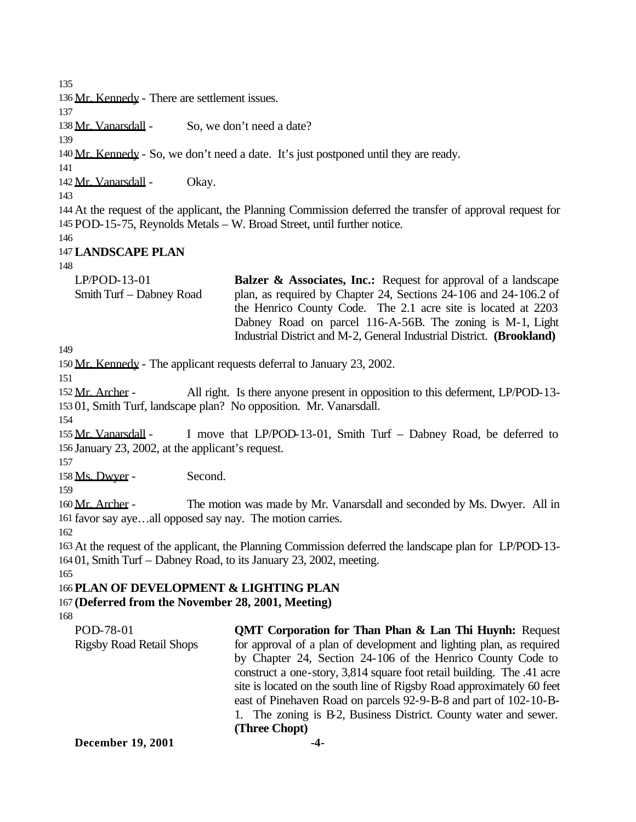135

136 Mr. Kennedy - There are settlement issues.

137

138 Mr. Vanarsdall - So, we don't need a date?

139

141

140 Mr. Kennedy - So, we don't need a date. It's just postponed until they are ready.

142 Mr. Vanarsdall - Okay.

143

144 At the request of the applicant, the Planning Commission deferred the transfer of approval request for 145 POD-15-75, Reynolds Metals – W. Broad Street, until further notice.

146

# 147**LANDSCAPE PLAN**

148

LP/POD-13-01 Smith Turf – Dabney Road **Balzer & Associates, Inc.:** Request for approval of a landscape plan, as required by Chapter 24, Sections 24-106 and 24-106.2 of the Henrico County Code. The 2.1 acre site is located at 2203 Dabney Road on parcel 116-A-56B. The zoning is M-1, Light Industrial District and M-2, General Industrial District. **(Brookland)**

149

150 Mr. Kennedy - The applicant requests deferral to January 23, 2002.

151

152 Mr. Archer - All right. Is there anyone present in opposition to this deferment, LP/POD-13-153 01, Smith Turf, landscape plan? No opposition. Mr. Vanarsdall.

154

155 Mr. Vanarsdall - I move that LP/POD-13-01, Smith Turf - Dabney Road, be deferred to 156 January 23, 2002, at the applicant's request.

157

158 Ms. Dwyer - Second.

159

160 Mr. Archer - The motion was made by Mr. Vanarsdall and seconded by Ms. Dwyer. All in 161 favor say aye…all opposed say nay. The motion carries.

162

163 At the request of the applicant, the Planning Commission deferred the landscape plan for LP/POD-13- 164 01, Smith Turf – Dabney Road, to its January 23, 2002, meeting.

165

# 166 **PLAN OF DEVELOPMENT & LIGHTING PLAN**

# 167 **(Deferred from the November 28, 2001, Meeting)**

| POD-78-01                       | <b>QMT Corporation for Than Phan &amp; Lan Thi Huynh:</b> Request      |  |  |
|---------------------------------|------------------------------------------------------------------------|--|--|
| <b>Rigsby Road Retail Shops</b> | for approval of a plan of development and lighting plan, as required   |  |  |
|                                 | by Chapter 24, Section 24-106 of the Henrico County Code to            |  |  |
|                                 | construct a one-story, 3,814 square foot retail building. The .41 acre |  |  |
|                                 | site is located on the south line of Rigsby Road approximately 60 feet |  |  |
|                                 | east of Pinehaven Road on parcels 92-9-B-8 and part of 102-10-B-       |  |  |
|                                 | 1. The zoning is B-2, Business District. County water and sewer.       |  |  |
|                                 | (Three Chopt)                                                          |  |  |
| <b>December 19, 2001</b>        |                                                                        |  |  |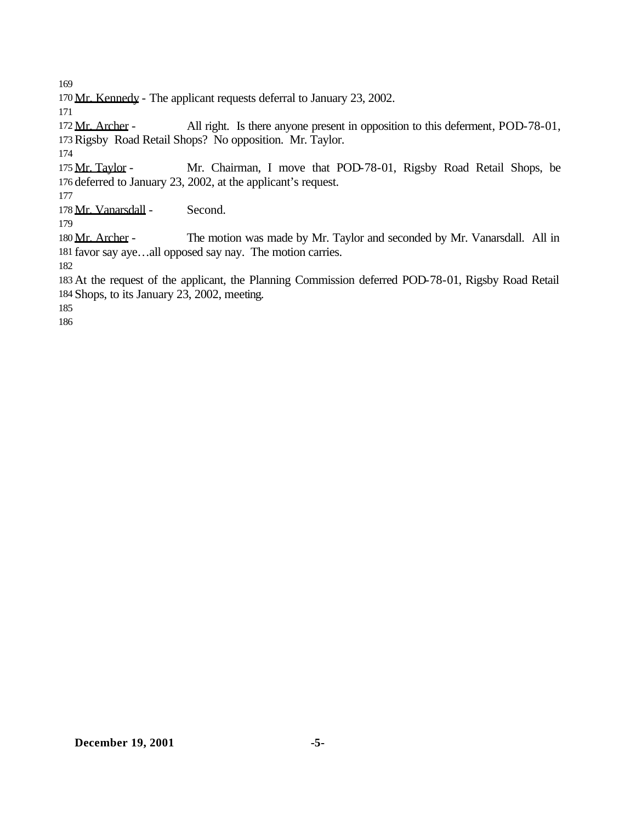Mr. Kennedy - The applicant requests deferral to January 23, 2002.

172 Mr. Archer - All right. Is there anyone present in opposition to this deferment, POD-78-01, Rigsby Road Retail Shops? No opposition. Mr. Taylor.

175 Mr. Taylor - Mr. Chairman, I move that POD-78-01, Rigsby Road Retail Shops, be deferred to January 23, 2002, at the applicant's request.

178 Mr. Vanarsdall - Second.

180 Mr. Archer - The motion was made by Mr. Taylor and seconded by Mr. Vanarsdall. All in favor say aye…all opposed say nay. The motion carries.

 At the request of the applicant, the Planning Commission deferred POD-78-01, Rigsby Road Retail Shops, to its January 23, 2002, meeting.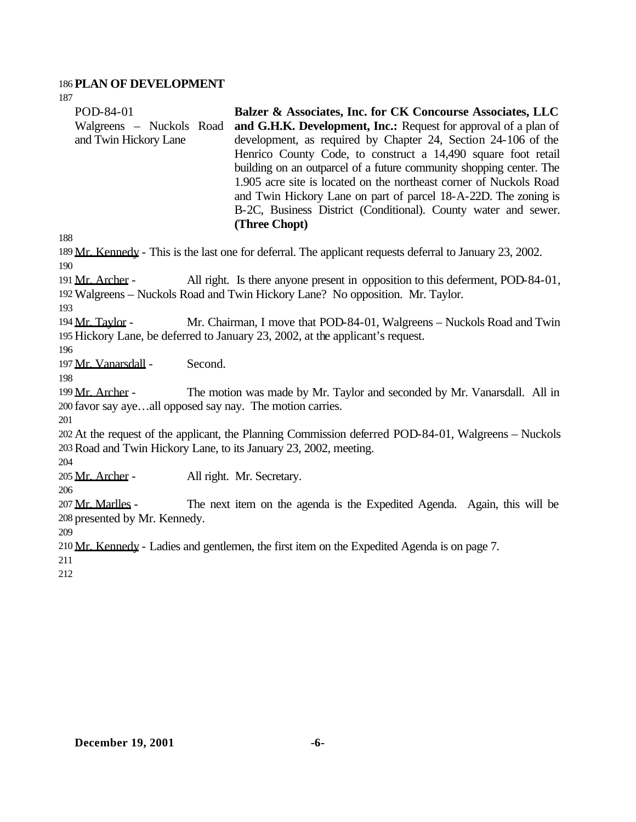# **PLAN OF DEVELOPMENT**

| POD-84-01<br>Walgreens - Nuckols Road<br>and Twin Hickory Lane                                                                                                                   | Balzer & Associates, Inc. for CK Concourse Associates, LLC<br>and G.H.K. Development, Inc.: Request for approval of a plan of<br>development, as required by Chapter 24, Section 24-106 of the<br>Henrico County Code, to construct a 14,490 square foot retail<br>building on an outparcel of a future community shopping center. The<br>1.905 acre site is located on the northeast corner of Nuckols Road<br>and Twin Hickory Lane on part of parcel 18-A-22D. The zoning is<br>B-2C, Business District (Conditional). County water and sewer.<br>(Three Chopt) |  |  |
|----------------------------------------------------------------------------------------------------------------------------------------------------------------------------------|--------------------------------------------------------------------------------------------------------------------------------------------------------------------------------------------------------------------------------------------------------------------------------------------------------------------------------------------------------------------------------------------------------------------------------------------------------------------------------------------------------------------------------------------------------------------|--|--|
| 188                                                                                                                                                                              |                                                                                                                                                                                                                                                                                                                                                                                                                                                                                                                                                                    |  |  |
| 190                                                                                                                                                                              | 189 Mr. Kennedy - This is the last one for deferral. The applicant requests deferral to January 23, 2002.                                                                                                                                                                                                                                                                                                                                                                                                                                                          |  |  |
| 191 Mr. Archer -<br>193                                                                                                                                                          | All right. Is there anyone present in opposition to this deferment, POD-84-01,<br>192 Walgreens - Nuckols Road and Twin Hickory Lane? No opposition. Mr. Taylor.                                                                                                                                                                                                                                                                                                                                                                                                   |  |  |
| 194 Mr. Taylor -<br>196                                                                                                                                                          | Mr. Chairman, I move that POD-84-01, Walgreens - Nuckols Road and Twin<br>195 Hickory Lane, be deferred to January 23, 2002, at the applicant's request.                                                                                                                                                                                                                                                                                                                                                                                                           |  |  |
| 197 Mr. Vanarsdall -<br>198                                                                                                                                                      | Second.                                                                                                                                                                                                                                                                                                                                                                                                                                                                                                                                                            |  |  |
| 199 Mr. Archer -<br>The motion was made by Mr. Taylor and seconded by Mr. Vanarsdall. All in<br>200 favor say ayeall opposed say nay. The motion carries.<br>201                 |                                                                                                                                                                                                                                                                                                                                                                                                                                                                                                                                                                    |  |  |
| 202 At the request of the applicant, the Planning Commission deferred POD-84-01, Walgreens – Nuckols<br>203 Road and Twin Hickory Lane, to its January 23, 2002, meeting.<br>204 |                                                                                                                                                                                                                                                                                                                                                                                                                                                                                                                                                                    |  |  |
| 205 Mr. Archer -<br>206                                                                                                                                                          | All right. Mr. Secretary.                                                                                                                                                                                                                                                                                                                                                                                                                                                                                                                                          |  |  |
| 207 Mr. Marlles -<br>208 presented by Mr. Kennedy.<br>209                                                                                                                        | The next item on the agenda is the Expedited Agenda. Again, this will be                                                                                                                                                                                                                                                                                                                                                                                                                                                                                           |  |  |
| 211<br>212                                                                                                                                                                       | 210 Mr. Kennedy - Ladies and gentlemen, the first item on the Expedited Agenda is on page 7.                                                                                                                                                                                                                                                                                                                                                                                                                                                                       |  |  |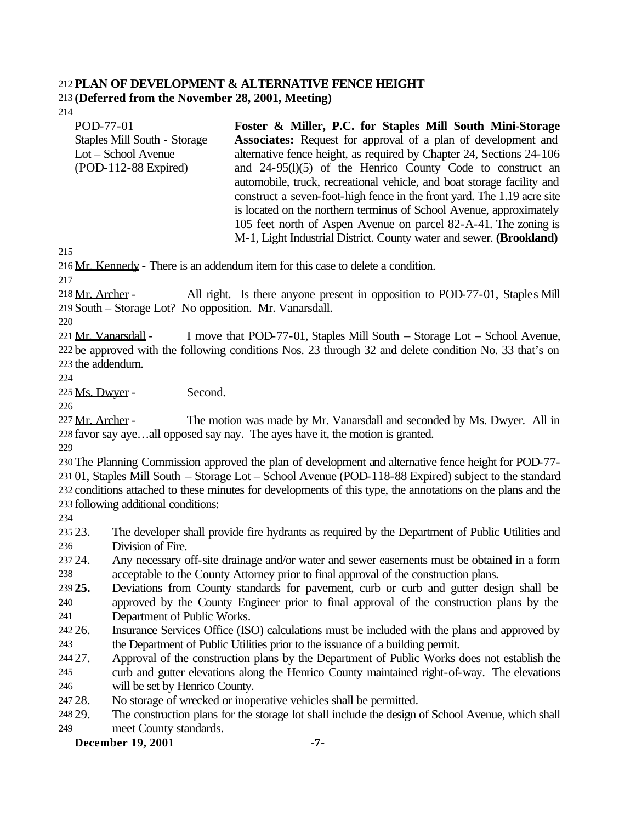# **PLAN OF DEVELOPMENT & ALTERNATIVE FENCE HEIGHT**

**(Deferred from the November 28, 2001, Meeting)** 

| POD-77-01                    | Foster & Miller, P.C. for Staples Mill South Mini-Storage               |
|------------------------------|-------------------------------------------------------------------------|
| Staples Mill South - Storage | <b>Associates:</b> Request for approval of a plan of development and    |
| $Lot - School$ Avenue        | alternative fence height, as required by Chapter 24, Sections 24-106    |
| $(POD-112-88$ Expired)       | and $24-95(1)(5)$ of the Henrico County Code to construct an            |
|                              | automobile, truck, recreational vehicle, and boat storage facility and  |
|                              | construct a seven-foot-high fence in the front yard. The 1.19 acre site |
|                              | is located on the northern terminus of School Avenue, approximately     |
|                              | 105 feet north of Aspen Avenue on parcel 82-A-41. The zoning is         |
|                              | M-1, Light Industrial District. County water and sewer. (Brookland)     |

Mr. Kennedy - There is an addendum item for this case to delete a condition.

218 Mr. Archer - All right. Is there anyone present in opposition to POD-77-01, Staples Mill South – Storage Lot? No opposition. Mr. Vanarsdall.

221 Mr. Vanarsdall - I move that POD-77-01, Staples Mill South – Storage Lot – School Avenue, be approved with the following conditions Nos. 23 through 32 and delete condition No. 33 that's on the addendum.

225 Ms. Dwyer - Second.

227 Mr. Archer - The motion was made by Mr. Vanarsdall and seconded by Ms. Dwyer. All in favor say aye…all opposed say nay. The ayes have it, the motion is granted.

 The Planning Commission approved the plan of development and alternative fence height for POD-77- 01, Staples Mill South – Storage Lot – School Avenue (POD-118-88 Expired) subject to the standard conditions attached to these minutes for developments of this type, the annotations on the plans and the following additional conditions:

 23. The developer shall provide fire hydrants as required by the Department of Public Utilities and Division of Fire.

 24. Any necessary off-site drainage and/or water and sewer easements must be obtained in a form acceptable to the County Attorney prior to final approval of the construction plans.

 **25.** Deviations from County standards for pavement, curb or curb and gutter design shall be approved by the County Engineer prior to final approval of the construction plans by the Department of Public Works.

- 26. Insurance Services Office (ISO) calculations must be included with the plans and approved by the Department of Public Utilities prior to the issuance of a building permit.
- 27. Approval of the construction plans by the Department of Public Works does not establish the curb and gutter elevations along the Henrico County maintained right-of-way. The elevations will be set by Henrico County.
- 28. No storage of wrecked or inoperative vehicles shall be permitted.

 29. The construction plans for the storage lot shall include the design of School Avenue, which shall meet County standards.

# **December 19, 2001 -7-**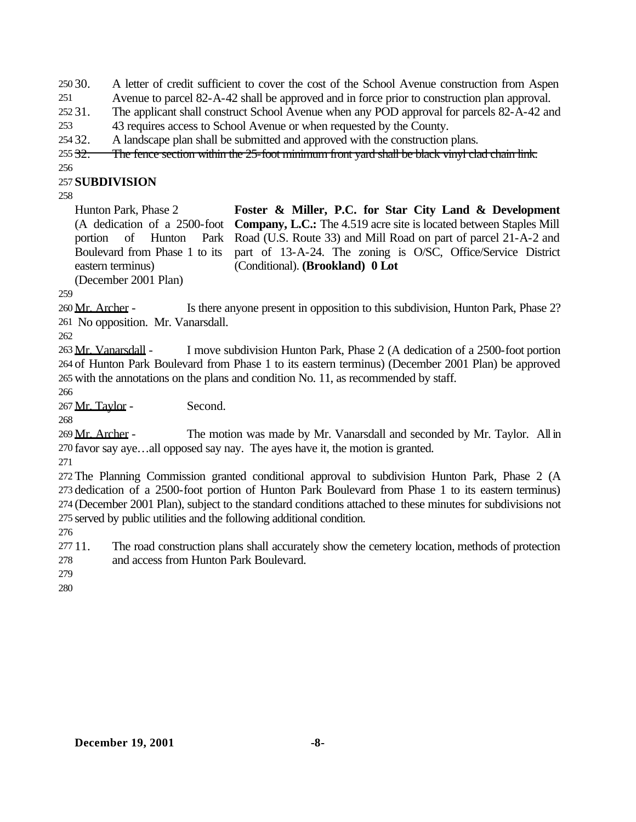30. A letter of credit sufficient to cover the cost of the School Avenue construction from Aspen

Avenue to parcel 82-A-42 shall be approved and in force prior to construction plan approval.

31. The applicant shall construct School Avenue when any POD approval for parcels 82-A-42 and

43 requires access to School Avenue or when requested by the County.

32. A landscape plan shall be submitted and approved with the construction plans.

255 32. The fence section within the 25-foot minimum front yard shall be black vinyl clad chain link.

# **SUBDIVISION**

Hunton Park, Phase 2 (A dedication of a 2500-foot portion of Hunton Park Boulevard from Phase 1 to its eastern terminus)

**Foster & Miller, P.C. for Star City Land & Development Company, L.C.:** The 4.519 acre site is located between Staples Mill Road (U.S. Route 33) and Mill Road on part of parcel 21-A-2 and part of 13-A-24. The zoning is O/SC, Office/Service District (Conditional). **(Brookland) 0 Lot**

(December 2001 Plan)

260 Mr. Archer - Is there anyone present in opposition to this subdivision, Hunton Park, Phase 2? No opposition. Mr. Vanarsdall.

 Mr. Vanarsdall - I move subdivision Hunton Park, Phase 2 (A dedication of a 2500-foot portion of Hunton Park Boulevard from Phase 1 to its eastern terminus) (December 2001 Plan) be approved with the annotations on the plans and condition No. 11, as recommended by staff.

Mr. Taylor - Second.

 Mr. Archer - The motion was made by Mr. Vanarsdall and seconded by Mr. Taylor. All in favor say aye…all opposed say nay. The ayes have it, the motion is granted.

 The Planning Commission granted conditional approval to subdivision Hunton Park, Phase 2 (A dedication of a 2500-foot portion of Hunton Park Boulevard from Phase 1 to its eastern terminus) (December 2001 Plan), subject to the standard conditions attached to these minutes for subdivisions not served by public utilities and the following additional condition.

 11. The road construction plans shall accurately show the cemetery location, methods of protection and access from Hunton Park Boulevard.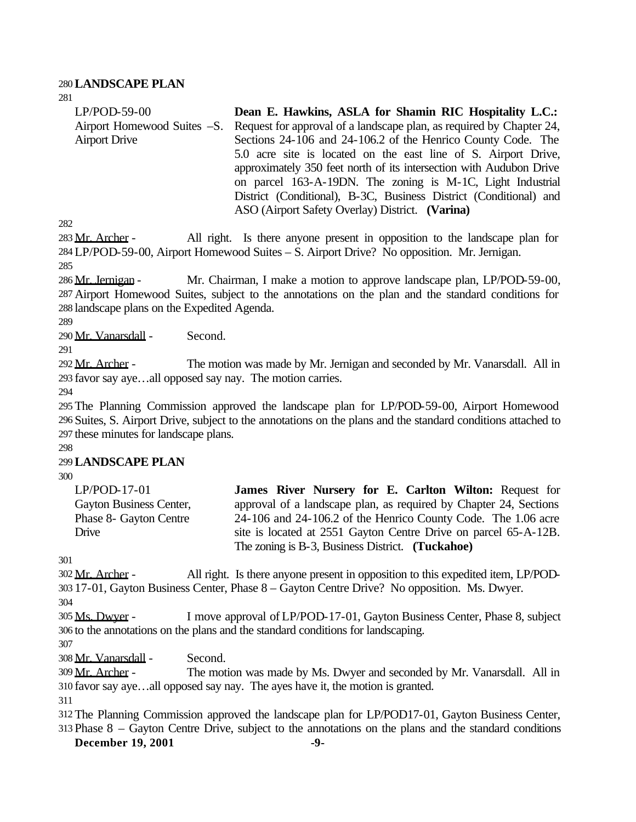### 280**LANDSCAPE PLAN**

| $LP/POD-59-00$       | Dean E. Hawkins, ASLA for Shamin RIC Hospitality L.C.:                                           |
|----------------------|--------------------------------------------------------------------------------------------------|
|                      | Airport Homewood Suites –S. Request for approval of a landscape plan, as required by Chapter 24, |
| <b>Airport Drive</b> | Sections 24-106 and 24-106.2 of the Henrico County Code. The                                     |
|                      | 5.0 acre site is located on the east line of S. Airport Drive,                                   |
|                      | approximately 350 feet north of its intersection with Audubon Drive                              |
|                      | on parcel 163-A-19DN. The zoning is M-1C, Light Industrial                                       |
|                      | District (Conditional), B-3C, Business District (Conditional) and                                |
|                      | ASO (Airport Safety Overlay) District. (Varina)                                                  |
|                      |                                                                                                  |

282

281

283 Mr. Archer - All right. Is there anyone present in opposition to the landscape plan for 284 LP/POD-59-00, Airport Homewood Suites – S. Airport Drive? No opposition. Mr. Jernigan. 285

286 Mr. Jernigan - Mr. Chairman, I make a motion to approve landscape plan, LP/POD-59-00, 287 Airport Homewood Suites, subject to the annotations on the plan and the standard conditions for 288 landscape plans on the Expedited Agenda.

289

290 Mr. Vanarsdall - Second.

291

292 Mr. Archer - The motion was made by Mr. Jernigan and seconded by Mr. Vanarsdall. All in 293 favor say aye…all opposed say nay. The motion carries.

294

295 The Planning Commission approved the landscape plan for LP/POD-59-00, Airport Homewood 296 Suites, S. Airport Drive, subject to the annotations on the plans and the standard conditions attached to 297 these minutes for landscape plans.

298

## 299**LANDSCAPE PLAN**

300

| $LP/POD-17-01$          | James River Nursery for E. Carlton Wilton: Request for            |
|-------------------------|-------------------------------------------------------------------|
| Gayton Business Center, | approval of a landscape plan, as required by Chapter 24, Sections |
| Phase 8- Gayton Centre  | 24-106 and 24-106.2 of the Henrico County Code. The 1.06 acre     |
| Drive                   | site is located at 2551 Gayton Centre Drive on parcel 65-A-12B.   |
|                         | The zoning is B-3, Business District. (Tuckahoe)                  |

301

302 Mr. Archer - All right. Is there anyone present in opposition to this expedited item, LP/POD-303 17-01, Gayton Business Center, Phase 8 – Gayton Centre Drive? No opposition. Ms. Dwyer.

304

305 Ms. Dwyer - I move approval of LP/POD-17-01, Gayton Business Center, Phase 8, subject 306 to the annotations on the plans and the standard conditions for landscaping.

307

308 Mr. Vanarsdall - Second.

309 Mr. Archer - The motion was made by Ms. Dwyer and seconded by Mr. Vanarsdall. All in 310 favor say aye…all opposed say nay. The ayes have it, the motion is granted.

311

312 The Planning Commission approved the landscape plan for LP/POD17-01, Gayton Business Center, 313 Phase 8 – Gayton Centre Drive, subject to the annotations on the plans and the standard conditions

**December 19, 2001 -9-**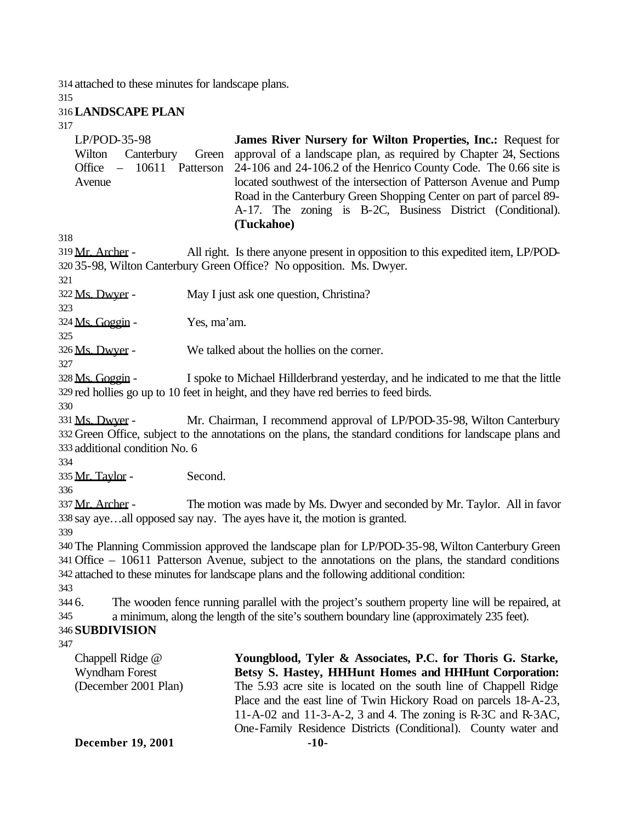314 attached to these minutes for landscape plans.

Wilton Canterbury Green Office – 10611 Patterson

315

## 316**LANDSCAPE PLAN**

LP/POD-35-98

Avenue

317

|                                                                                                            | Road in the Canterbury Green Shopping Center on part of parcel 89-<br>A-17. The zoning is B-2C, Business District (Conditional).<br>(Tuckahoe) |  |
|------------------------------------------------------------------------------------------------------------|------------------------------------------------------------------------------------------------------------------------------------------------|--|
| 318                                                                                                        |                                                                                                                                                |  |
| 319 Mr. Archer -                                                                                           | All right. Is there anyone present in opposition to this expedited item, LP/POD-                                                               |  |
|                                                                                                            | 320 35-98, Wilton Canterbury Green Office? No opposition. Ms. Dwyer.                                                                           |  |
| 321                                                                                                        |                                                                                                                                                |  |
| 322 Ms. Dwyer -                                                                                            | May I just ask one question, Christina?                                                                                                        |  |
| 323                                                                                                        |                                                                                                                                                |  |
| 324 Ms. Goggin -                                                                                           | Yes, ma'am.                                                                                                                                    |  |
| 325                                                                                                        |                                                                                                                                                |  |
| 326 Ms. Dwyer -                                                                                            | We talked about the hollies on the corner.                                                                                                     |  |
| 327                                                                                                        |                                                                                                                                                |  |
| 328 Ms. Goggin -                                                                                           | I spoke to Michael Hillderbrand yesterday, and he indicated to me that the little                                                              |  |
|                                                                                                            | 329 red hollies go up to 10 feet in height, and they have red berries to feed birds.                                                           |  |
| 330                                                                                                        |                                                                                                                                                |  |
| 331 Ms. Dwyer -                                                                                            | Mr. Chairman, I recommend approval of LP/POD-35-98, Wilton Canterbury                                                                          |  |
|                                                                                                            | 332 Green Office, subject to the annotations on the plans, the standard conditions for landscape plans and                                     |  |
| 333 additional condition No. 6                                                                             |                                                                                                                                                |  |
| 334                                                                                                        |                                                                                                                                                |  |
| 335 Mr. Taylor -                                                                                           | Second.                                                                                                                                        |  |
| 336                                                                                                        |                                                                                                                                                |  |
| 337 Mr. Archer -                                                                                           | The motion was made by Ms. Dwyer and seconded by Mr. Taylor. All in favor                                                                      |  |
| 338 say ayeall opposed say nay. The ayes have it, the motion is granted.                                   |                                                                                                                                                |  |
| 339                                                                                                        |                                                                                                                                                |  |
|                                                                                                            | 340 The Planning Commission approved the landscape plan for LP/POD-35-98, Wilton Canterbury Green                                              |  |
| 341 Office – 10611 Patterson Avenue, subject to the annotations on the plans, the standard conditions      |                                                                                                                                                |  |
|                                                                                                            | 342 attached to these minutes for landscape plans and the following additional condition:                                                      |  |
| 343                                                                                                        |                                                                                                                                                |  |
| The wooden fence running parallel with the project's southern property line will be repaired, at<br>344 6. |                                                                                                                                                |  |
| a minimum, along the length of the site's southern boundary line (approximately 235 feet).<br>345          |                                                                                                                                                |  |
| 346 SUBDIVISION                                                                                            |                                                                                                                                                |  |
| 347                                                                                                        |                                                                                                                                                |  |
| Chappell Ridge @                                                                                           | Youngblood, Tyler & Associates, P.C. for Thoris G. Starke,                                                                                     |  |
| Wyndham Forest                                                                                             | Betsy S. Hastey, HHHunt Homes and HHHunt Corporation:                                                                                          |  |
| (December 2001 Plan)                                                                                       | The 5.93 acre site is located on the south line of Chappell Ridge                                                                              |  |

**James River Nursery for Wilton Properties, Inc.:** Request for approval of a landscape plan, as required by Chapter 24, Sections 24-106 and 24-106.2 of the Henrico County Code. The 0.66 site is located southwest of the intersection of Patterson Avenue and Pump

The 5.93 acre site is located on the south line of Chappell Ridge Place and the east line of Twin Hickory Road on parcels 18-A-23, 11-A-02 and 11-3-A-2, 3 and 4. The zoning is R-3C and R-3AC, One-Family Residence Districts (Conditional). County water and

**December 19, 2001 -10-**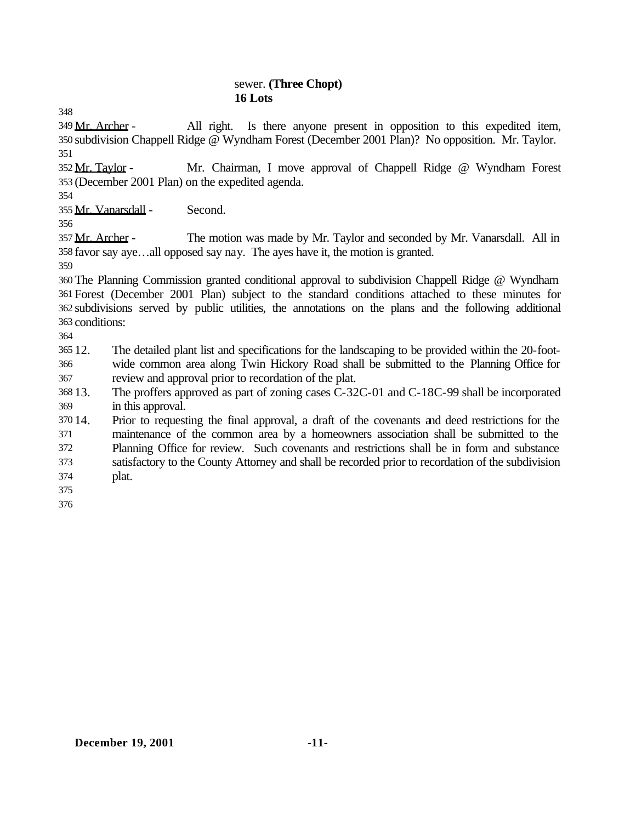### sewer. **(Three Chopt) 16 Lots**

 Mr. Archer - All right. Is there anyone present in opposition to this expedited item, subdivision Chappell Ridge @ Wyndham Forest (December 2001 Plan)? No opposition. Mr. Taylor. 

 Mr. Taylor - Mr. Chairman, I move approval of Chappell Ridge @ Wyndham Forest (December 2001 Plan) on the expedited agenda.

Mr. Vanarsdall - Second.

357 Mr. Archer - The motion was made by Mr. Taylor and seconded by Mr. Vanarsdall. All in favor say aye…all opposed say nay. The ayes have it, the motion is granted.

 The Planning Commission granted conditional approval to subdivision Chappell Ridge @ Wyndham Forest (December 2001 Plan) subject to the standard conditions attached to these minutes for subdivisions served by public utilities, the annotations on the plans and the following additional conditions:

 12. The detailed plant list and specifications for the landscaping to be provided within the 20-foot- wide common area along Twin Hickory Road shall be submitted to the Planning Office for review and approval prior to recordation of the plat.

 13. The proffers approved as part of zoning cases C-32C-01 and C-18C-99 shall be incorporated in this approval.

 14. Prior to requesting the final approval, a draft of the covenants and deed restrictions for the maintenance of the common area by a homeowners association shall be submitted to the Planning Office for review. Such covenants and restrictions shall be in form and substance satisfactory to the County Attorney and shall be recorded prior to recordation of the subdivision plat.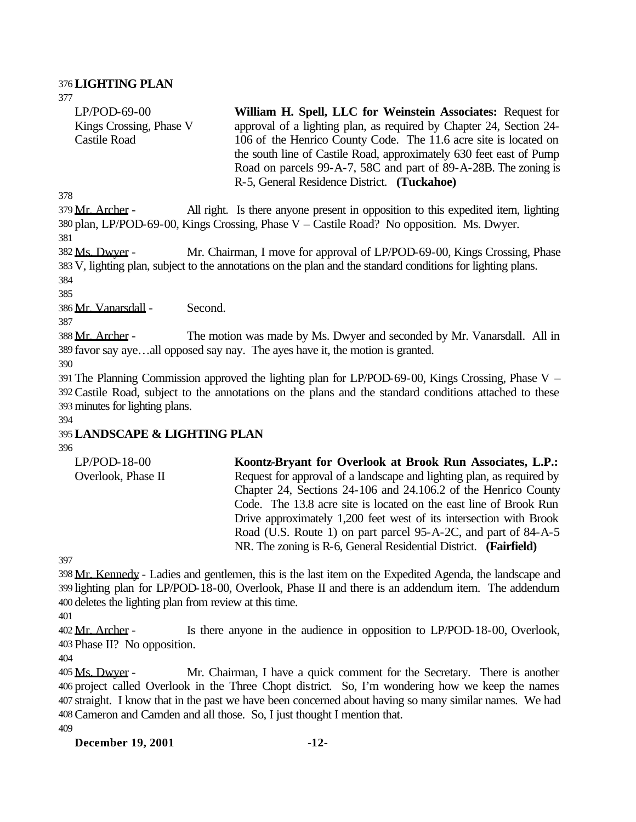## 376**LIGHTING PLAN**

377 LP/POD-69-00 Kings Crossing, Phase V Castile Road

**William H. Spell, LLC for Weinstein Associates:** Request for approval of a lighting plan, as required by Chapter 24, Section 24- 106 of the Henrico County Code. The 11.6 acre site is located on the south line of Castile Road, approximately 630 feet east of Pump Road on parcels 99-A-7, 58C and part of 89-A-28B. The zoning is R-5, General Residence District. **(Tuckahoe)**

378

379 Mr. Archer - All right. Is there anyone present in opposition to this expedited item, lighting 380 plan, LP/POD-69-00, Kings Crossing, Phase V – Castile Road? No opposition. Ms. Dwyer.

381

382 Ms. Dwyer - Mr. Chairman, I move for approval of LP/POD-69-00, Kings Crossing, Phase 383 V, lighting plan, subject to the annotations on the plan and the standard conditions for lighting plans. 384

385

386 Mr. Vanarsdall - Second.

387

388 Mr. Archer - The motion was made by Ms. Dwyer and seconded by Mr. Vanarsdall. All in 389 favor say aye…all opposed say nay. The ayes have it, the motion is granted.

390

391 The Planning Commission approved the lighting plan for LP/POD-69-00, Kings Crossing, Phase V – 392Castile Road, subject to the annotations on the plans and the standard conditions attached to these 393 minutes for lighting plans.

394

# 395**LANDSCAPE & LIGHTING PLAN**

396

| Koontz-Bryant for Overlook at Brook Run Associates, L.P.:             |
|-----------------------------------------------------------------------|
| Request for approval of a landscape and lighting plan, as required by |
| Chapter 24, Sections 24-106 and 24.106.2 of the Henrico County        |
| Code. The 13.8 acre site is located on the east line of Brook Run     |
| Drive approximately 1,200 feet west of its intersection with Brook    |
| Road (U.S. Route 1) on part parcel 95-A-2C, and part of 84-A-5        |
| NR. The zoning is R-6, General Residential District. (Fairfield)      |
|                                                                       |

397

398 Mr. Kennedy - Ladies and gentlemen, this is the last item on the Expedited Agenda, the landscape and 399 lighting plan for LP/POD-18-00, Overlook, Phase II and there is an addendum item. The addendum 400 deletes the lighting plan from review at this time.

401

402 Mr. Archer - Is there anyone in the audience in opposition to LP/POD-18-00, Overlook, 403 Phase II? No opposition.

404

405 Ms. Dwyer - Mr. Chairman, I have a quick comment for the Secretary. There is another 406 project called Overlook in the Three Chopt district. So, I'm wondering how we keep the names 407 straight. I know that in the past we have been concerned about having so many similar names. We had 408Cameron and Camden and all those. So, I just thought I mention that. 409

**December 19, 2001 -12-**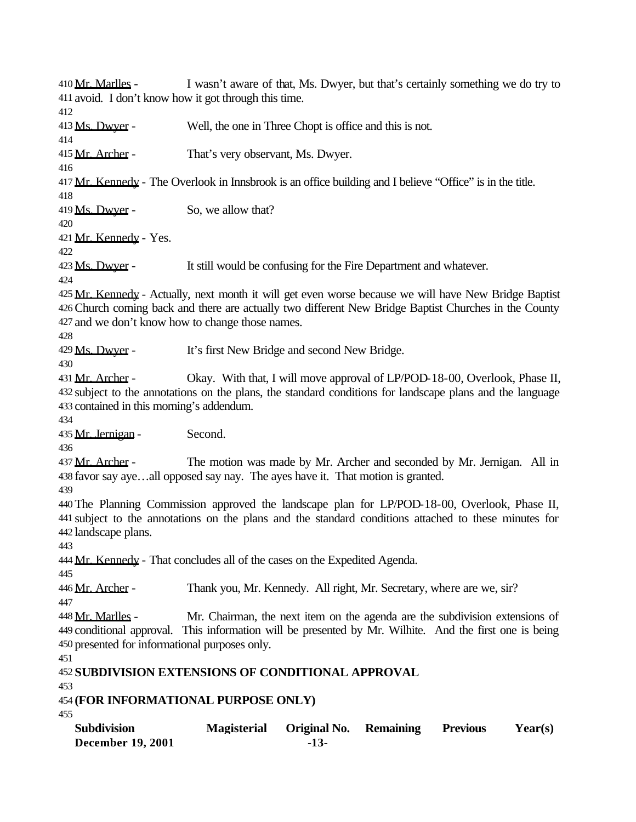**December 19, 2001 -13-** 410 Mr. Marlles - I wasn't aware of that, Ms. Dwyer, but that's certainly something we do try to avoid. I don't know how it got through this time. 413 Ms. Dwyer - Well, the one in Three Chopt is office and this is not. 415 Mr. Archer - That's very observant, Ms. Dwyer. 417 Mr. Kennedy - The Overlook in Innsbrook is an office building and I believe "Office" is in the title. 419 Ms. Dwyer - So, we allow that? Mr. Kennedy - Yes. 423 Ms. Dwyer - It still would be confusing for the Fire Department and whatever. Mr. Kennedy - Actually, next month it will get even worse because we will have New Bridge Baptist Church coming back and there are actually two different New Bridge Baptist Churches in the County and we don't know how to change those names. Ms. Dwyer - It's first New Bridge and second New Bridge. 431 Mr. Archer - Okay. With that, I will move approval of LP/POD-18-00, Overlook, Phase II, subject to the annotations on the plans, the standard conditions for landscape plans and the language contained in this morning's addendum. 435 Mr. Jernigan - Second. 437 Mr. Archer - The motion was made by Mr. Archer and seconded by Mr. Jernigan. All in favor say aye…all opposed say nay. The ayes have it. That motion is granted. The Planning Commission approved the landscape plan for LP/POD-18-00, Overlook, Phase II, subject to the annotations on the plans and the standard conditions attached to these minutes for landscape plans. 444 Mr. Kennedy - That concludes all of the cases on the Expedited Agenda. 446 Mr. Archer - Thank you, Mr. Kennedy. All right, Mr. Secretary, where are we, sir? 448 Mr. Marlles - Mr. Chairman, the next item on the agenda are the subdivision extensions of conditional approval. This information will be presented by Mr. Wilhite. And the first one is being presented for informational purposes only. **SUBDIVISION EXTENSIONS OF CONDITIONAL APPROVAL (FOR INFORMATIONAL PURPOSE ONLY) Subdivision Magisterial Original No. Remaining Previous Year(s)**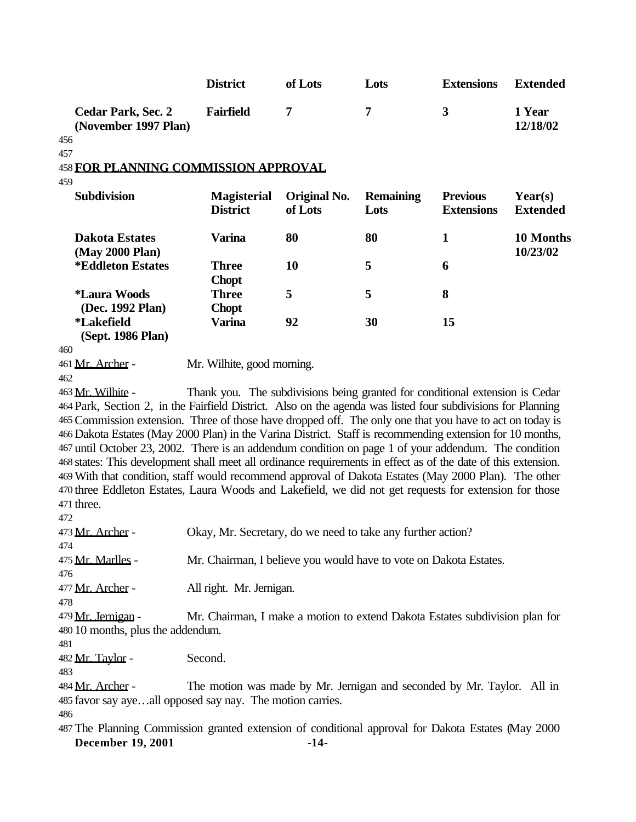|                                                                                                                                                                                                                        | <b>District</b>                                                              | of Lots                 | Lots                     | <b>Extensions</b>                    | <b>Extended</b>            |
|------------------------------------------------------------------------------------------------------------------------------------------------------------------------------------------------------------------------|------------------------------------------------------------------------------|-------------------------|--------------------------|--------------------------------------|----------------------------|
| <b>Cedar Park, Sec. 2</b><br>(November 1997 Plan)<br>456                                                                                                                                                               | <b>Fairfield</b>                                                             | 7                       | 7                        | $\mathbf{3}$                         | 1 Year<br>12/18/02         |
| 457                                                                                                                                                                                                                    |                                                                              |                         |                          |                                      |                            |
| <b>458 FOR PLANNING COMMISSION APPROVAL</b>                                                                                                                                                                            |                                                                              |                         |                          |                                      |                            |
| 459                                                                                                                                                                                                                    |                                                                              |                         |                          |                                      |                            |
| <b>Subdivision</b>                                                                                                                                                                                                     | <b>Magisterial</b><br><b>District</b>                                        | Original No.<br>of Lots | <b>Remaining</b><br>Lots | <b>Previous</b><br><b>Extensions</b> | Year(s)<br><b>Extended</b> |
| <b>Dakota Estates</b><br>(May 2000 Plan)                                                                                                                                                                               | <b>Varina</b>                                                                | 80                      | 80                       | $\mathbf{1}$                         | 10 Months<br>10/23/02      |
| <i><b>*Eddleton Estates</b></i>                                                                                                                                                                                        | <b>Three</b><br><b>Chopt</b>                                                 | 10                      | 5                        | 6                                    |                            |
| <i><b>*Laura Woods</b></i><br>(Dec. 1992 Plan)                                                                                                                                                                         | <b>Three</b><br><b>Chopt</b>                                                 | 5                       | 5                        | 8                                    |                            |
| <i><b>*Lakefield</b></i><br>(Sept. 1986 Plan)                                                                                                                                                                          | <b>Varina</b>                                                                | 92                      | 30                       | 15                                   |                            |
| 460                                                                                                                                                                                                                    |                                                                              |                         |                          |                                      |                            |
| 461 Mr. Archer -                                                                                                                                                                                                       | Mr. Wilhite, good morning.                                                   |                         |                          |                                      |                            |
| 462                                                                                                                                                                                                                    |                                                                              |                         |                          |                                      |                            |
| 463 Mr. Wilhite -                                                                                                                                                                                                      | Thank you. The subdivisions being granted for conditional extension is Cedar |                         |                          |                                      |                            |
| 464 Park, Section 2, in the Fairfield District. Also on the agenda was listed four subdivisions for Planning                                                                                                           |                                                                              |                         |                          |                                      |                            |
| 465 Commission extension. Three of those have dropped off. The only one that you have to act on today is                                                                                                               |                                                                              |                         |                          |                                      |                            |
| 466 Dakota Estates (May 2000 Plan) in the Varina District. Staff is recommending extension for 10 months,                                                                                                              |                                                                              |                         |                          |                                      |                            |
| 467 until October 23, 2002. There is an addendum condition on page 1 of your addendum. The condition                                                                                                                   |                                                                              |                         |                          |                                      |                            |
| 468 states: This development shall meet all ordinance requirements in effect as of the date of this extension.<br>469 With that condition, staff would recommend approval of Dakota Estates (May 2000 Plan). The other |                                                                              |                         |                          |                                      |                            |
| 470 three Eddleton Estates, Laura Woods and Lakefield, we did not get requests for extension for those                                                                                                                 |                                                                              |                         |                          |                                      |                            |
| 471 three.                                                                                                                                                                                                             |                                                                              |                         |                          |                                      |                            |
| 472                                                                                                                                                                                                                    |                                                                              |                         |                          |                                      |                            |
| 473 Mr. Archer -                                                                                                                                                                                                       | Okay, Mr. Secretary, do we need to take any further action?                  |                         |                          |                                      |                            |
| 474                                                                                                                                                                                                                    |                                                                              |                         |                          |                                      |                            |
| 475 Mr. Marlles -                                                                                                                                                                                                      | Mr. Chairman, I believe you would have to vote on Dakota Estates.            |                         |                          |                                      |                            |
| 476                                                                                                                                                                                                                    |                                                                              |                         |                          |                                      |                            |
| 477 Mr. Archer -                                                                                                                                                                                                       | All right. Mr. Jernigan.                                                     |                         |                          |                                      |                            |
| 478                                                                                                                                                                                                                    |                                                                              |                         |                          |                                      |                            |
| 479 Mr. Jernigan -                                                                                                                                                                                                     | Mr. Chairman, I make a motion to extend Dakota Estates subdivision plan for  |                         |                          |                                      |                            |
| 480 10 months, plus the addendum.                                                                                                                                                                                      |                                                                              |                         |                          |                                      |                            |
| 481                                                                                                                                                                                                                    |                                                                              |                         |                          |                                      |                            |
| 482 Mr. Taylor -<br>483                                                                                                                                                                                                | Second.                                                                      |                         |                          |                                      |                            |
| 484 Mr. Archer -<br>485 favor say ayeall opposed say nay. The motion carries.                                                                                                                                          | The motion was made by Mr. Jernigan and seconded by Mr. Taylor. All in       |                         |                          |                                      |                            |
| 486                                                                                                                                                                                                                    |                                                                              |                         |                          |                                      |                            |
| 487 The Planning Commission granted extension of conditional approval for Dakota Estates (May 2000                                                                                                                     |                                                                              |                         |                          |                                      |                            |
| <b>December 19, 2001</b>                                                                                                                                                                                               |                                                                              | $-14-$                  |                          |                                      |                            |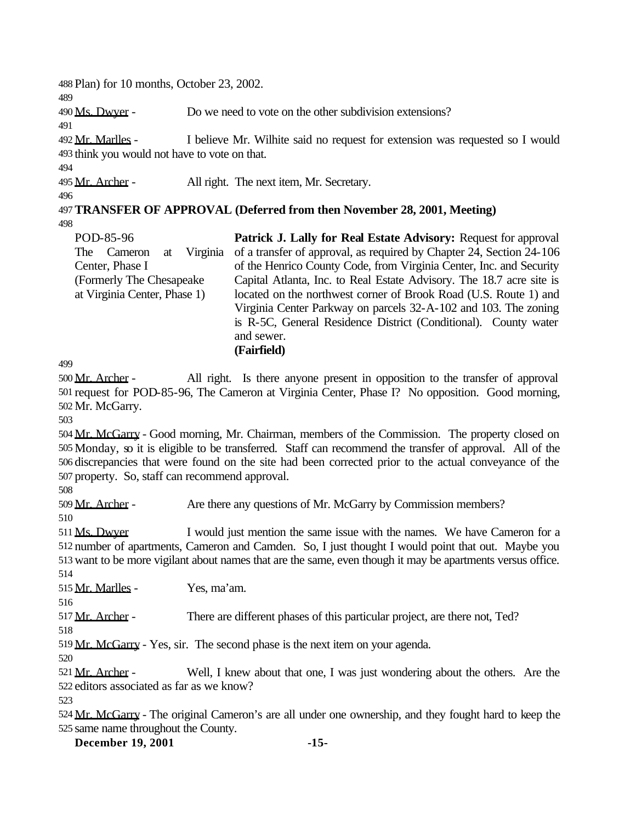Plan) for 10 months, October 23, 2002.

Ms. Dwyer - Do we need to vote on the other subdivision extensions?

492 Mr. Marlles - I believe Mr. Wilhite said no request for extension was requested so I would think you would not have to vote on that.

495 Mr. Archer - All right. The next item, Mr. Secretary.

**TRANSFER OF APPROVAL (Deferred from then November 28, 2001, Meeting)**  

POD-85-96 The Cameron at Virginia Center, Phase I (Formerly The Chesapeake at Virginia Center, Phase 1) **Patrick J. Lally for Real Estate Advisory:** Request for approval of a transfer of approval, as required by Chapter 24, Section 24-106 of the Henrico County Code, from Virginia Center, Inc. and Security Capital Atlanta, Inc. to Real Estate Advisory. The 18.7 acre site is located on the northwest corner of Brook Road (U.S. Route 1) and Virginia Center Parkway on parcels 32-A-102 and 103. The zoning is R-5C, General Residence District (Conditional). County water and sewer. **(Fairfield)**

 Mr. Archer - All right. Is there anyone present in opposition to the transfer of approval request for POD-85-96, The Cameron at Virginia Center, Phase I? No opposition. Good morning, Mr. McGarry.

 Mr. McGarry - Good morning, Mr. Chairman, members of the Commission. The property closed on Monday, so it is eligible to be transferred. Staff can recommend the transfer of approval. All of the discrepancies that were found on the site had been corrected prior to the actual conveyance of the property. So, staff can recommend approval.

Mr. Archer - Are there any questions of Mr. McGarry by Commission members?

511 Ms. Dwyer I would just mention the same issue with the names. We have Cameron for a number of apartments, Cameron and Camden. So, I just thought I would point that out. Maybe you want to be more vigilant about names that are the same, even though it may be apartments versus office. 

Mr. Marlles - Yes, ma'am.

517 Mr. Archer - There are different phases of this particular project, are there not, Ted?

Mr. McGarry - Yes, sir. The second phase is the next item on your agenda.

521 Mr. Archer - Well, I knew about that one, I was just wondering about the others. Are the editors associated as far as we know?

 Mr. McGarry - The original Cameron's are all under one ownership, and they fought hard to keep the same name throughout the County.

**December 19, 2001 -15-**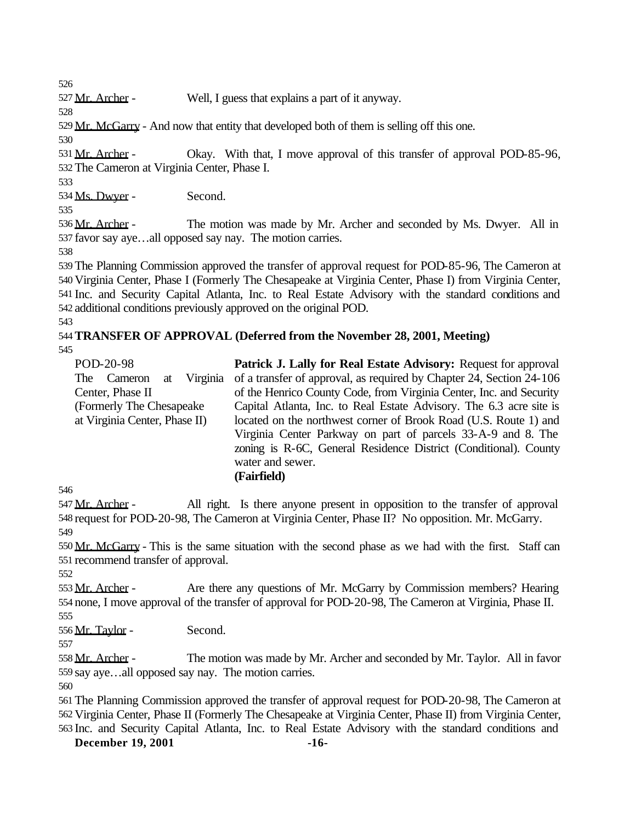Mr. Archer - Well, I guess that explains a part of it anyway.

Mr. McGarry - And now that entity that developed both of them is selling off this one.

531 Mr. Archer - Okay. With that, I move approval of this transfer of approval POD-85-96, The Cameron at Virginia Center, Phase I.

Ms. Dwyer - Second.

536 Mr. Archer - The motion was made by Mr. Archer and seconded by Ms. Dwyer. All in favor say aye…all opposed say nay. The motion carries.

 The Planning Commission approved the transfer of approval request for POD-85-96, The Cameron at Virginia Center, Phase I (Formerly The Chesapeake at Virginia Center, Phase I) from Virginia Center, Inc. and Security Capital Atlanta, Inc. to Real Estate Advisory with the standard conditions and additional conditions previously approved on the original POD.

# **TRANSFER OF APPROVAL (Deferred from the November 28, 2001, Meeting)**

| POD-20-98<br>The Cameron<br>Virginia<br>at<br>Center, Phase II | <b>Patrick J. Lally for Real Estate Advisory: Request for approval</b><br>of a transfer of approval, as required by Chapter 24, Section 24-106<br>of the Henrico County Code, from Virginia Center, Inc. and Security |
|----------------------------------------------------------------|-----------------------------------------------------------------------------------------------------------------------------------------------------------------------------------------------------------------------|
|                                                                |                                                                                                                                                                                                                       |
| (Formerly The Chesapeake)                                      | Capital Atlanta, Inc. to Real Estate Advisory. The 6.3 acre site is                                                                                                                                                   |
| at Virginia Center, Phase II)                                  | located on the northwest corner of Brook Road (U.S. Route 1) and                                                                                                                                                      |
|                                                                | Virginia Center Parkway on part of parcels 33-A-9 and 8. The                                                                                                                                                          |
|                                                                | zoning is R-6C, General Residence District (Conditional). County                                                                                                                                                      |
|                                                                | water and sewer.                                                                                                                                                                                                      |
|                                                                | (Fairfield)                                                                                                                                                                                                           |

547 Mr. Archer - All right. Is there anyone present in opposition to the transfer of approval request for POD-20-98, The Cameron at Virginia Center, Phase II? No opposition. Mr. McGarry. 

 Mr. McGarry - This is the same situation with the second phase as we had with the first. Staff can recommend transfer of approval.

553 Mr. Archer - Are there any questions of Mr. McGarry by Commission members? Hearing none, I move approval of the transfer of approval for POD-20-98, The Cameron at Virginia, Phase II. 

Mr. Taylor - Second.

 Mr. Archer - The motion was made by Mr. Archer and seconded by Mr. Taylor. All in favor say aye…all opposed say nay. The motion carries.

 The Planning Commission approved the transfer of approval request for POD-20-98, The Cameron at Virginia Center, Phase II (Formerly The Chesapeake at Virginia Center, Phase II) from Virginia Center, Inc. and Security Capital Atlanta, Inc. to Real Estate Advisory with the standard conditions and

**December 19, 2001 -16-**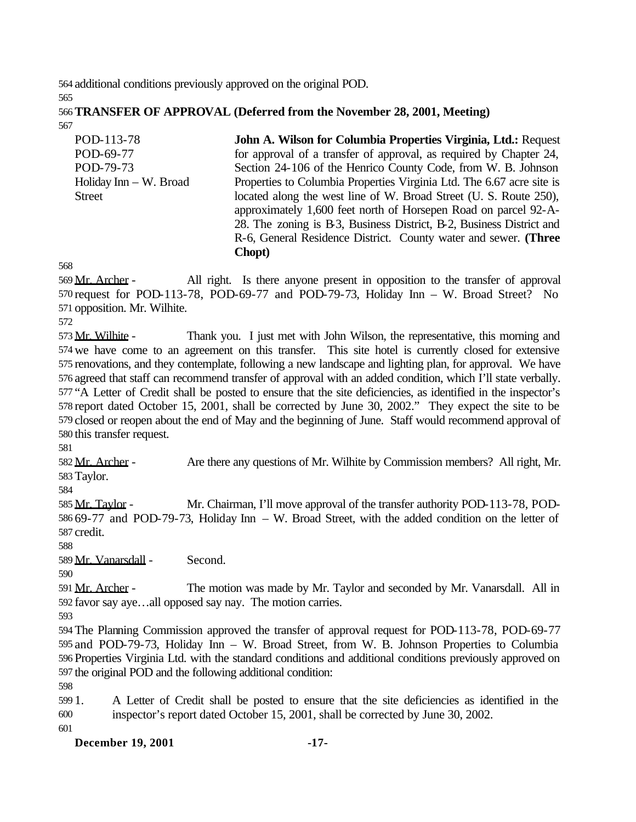additional conditions previously approved on the original POD. 

## **TRANSFER OF APPROVAL (Deferred from the November 28, 2001, Meeting)**

| POD-113-78               | John A. Wilson for Columbia Properties Virginia, Ltd.: Request        |
|--------------------------|-----------------------------------------------------------------------|
| POD-69-77                | for approval of a transfer of approval, as required by Chapter 24,    |
| POD-79-73                | Section 24-106 of the Henrico County Code, from W. B. Johnson         |
| Holiday Inn $-$ W. Broad | Properties to Columbia Properties Virginia Ltd. The 6.67 acre site is |
| <b>Street</b>            | located along the west line of W. Broad Street (U. S. Route 250),     |
|                          | approximately 1,600 feet north of Horsepen Road on parcel 92-A-       |
|                          | 28. The zoning is B3, Business District, B-2, Business District and   |
|                          | R-6, General Residence District. County water and sewer. (Three       |
|                          | Chopt)                                                                |

 Mr. Archer - All right. Is there anyone present in opposition to the transfer of approval request for POD-113-78, POD-69-77 and POD-79-73, Holiday Inn – W. Broad Street? No opposition. Mr. Wilhite.

573 Mr. Wilhite - Thank you. I just met with John Wilson, the representative, this morning and we have come to an agreement on this transfer. This site hotel is currently closed for extensive renovations, and they contemplate, following a new landscape and lighting plan, for approval. We have agreed that staff can recommend transfer of approval with an added condition, which I'll state verbally. "A Letter of Credit shall be posted to ensure that the site deficiencies, as identified in the inspector's report dated October 15, 2001, shall be corrected by June 30, 2002." They expect the site to be closed or reopen about the end of May and the beginning of June. Staff would recommend approval of this transfer request.

582 Mr. Archer - Are there any questions of Mr. Wilhite by Commission members? All right, Mr. Taylor.

 Mr. Taylor - Mr. Chairman, I'll move approval of the transfer authority POD-113-78, POD- 69-77 and POD-79-73, Holiday Inn – W. Broad Street, with the added condition on the letter of credit.

Mr. Vanarsdall - Second.

591 Mr. Archer - The motion was made by Mr. Taylor and seconded by Mr. Vanarsdall. All in favor say aye…all opposed say nay. The motion carries.

 The Planning Commission approved the transfer of approval request for POD-113-78, POD-69-77 and POD-79-73, Holiday Inn – W. Broad Street, from W. B. Johnson Properties to Columbia Properties Virginia Ltd. with the standard conditions and additional conditions previously approved on the original POD and the following additional condition:

 1. A Letter of Credit shall be posted to ensure that the site deficiencies as identified in the inspector's report dated October 15, 2001, shall be corrected by June 30, 2002.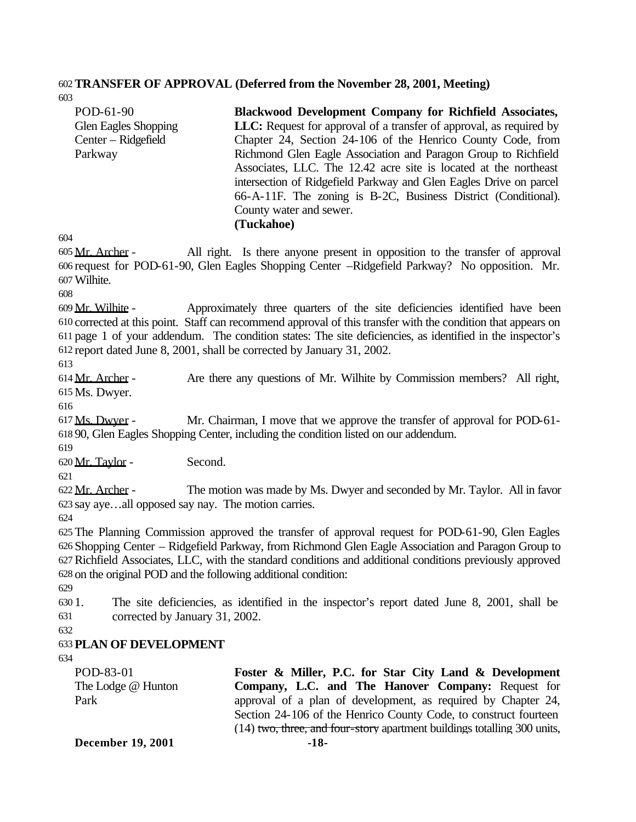# 602**TRANSFER OF APPROVAL (Deferred from the November 28, 2001, Meeting)**

603 POD-61-90 Glen Eagles Shopping Center – Ridgefield Parkway **Blackwood Development Company for Richfield Associates,**  LLC: Request for approval of a transfer of approval, as required by Chapter 24, Section 24-106 of the Henrico County Code, from Richmond Glen Eagle Association and Paragon Group to Richfield Associates, LLC. The 12.42 acre site is located at the northeast intersection of Ridgefield Parkway and Glen Eagles Drive on parcel 66-A-11F. The zoning is B-2C, Business District (Conditional). County water and sewer.

**(Tuckahoe)**

604

605 Mr. Archer - All right. Is there anyone present in opposition to the transfer of approval 606 request for POD-61-90, Glen Eagles Shopping Center –Ridgefield Parkway? No opposition. Mr. 607Wilhite.

608

 Mr. Wilhite - Approximately three quarters of the site deficiencies identified have been corrected at this point. Staff can recommend approval of this transfer with the condition that appears on page 1 of your addendum. The condition states: The site deficiencies, as identified in the inspector's report dated June 8, 2001, shall be corrected by January 31, 2002.

613

614 Mr. Archer - Are there any questions of Mr. Wilhite by Commission members? All right, 615 Ms. Dwyer.

616

617 Ms. Dwyer - Mr. Chairman, I move that we approve the transfer of approval for POD-61- 618 90, Glen Eagles Shopping Center, including the condition listed on our addendum.

619

620 Mr. Taylor - Second.

621

622 Mr. Archer - The motion was made by Ms. Dwyer and seconded by Mr. Taylor. All in favor 623 say aye…all opposed say nay. The motion carries.

624

 The Planning Commission approved the transfer of approval request for POD-61-90, Glen Eagles Shopping Center – Ridgefield Parkway, from Richmond Glen Eagle Association and Paragon Group to Richfield Associates, LLC, with the standard conditions and additional conditions previously approved on the original POD and the following additional condition:

629

630 1. The site deficiencies, as identified in the inspector's report dated June 8, 2001, shall be 631 corrected by January 31, 2002.

632

# 633 **PLAN OF DEVELOPMENT**

634

POD-83-01 The Lodge @ Hunton Park

**Foster & Miller, P.C. for Star City Land & Development Company, L.C. and The Hanover Company:** Request for approval of a plan of development, as required by Chapter 24, Section 24-106 of the Henrico County Code, to construct fourteen (14) two, three, and four-story apartment buildings totalling 300 units,

**December 19, 2001 -18-**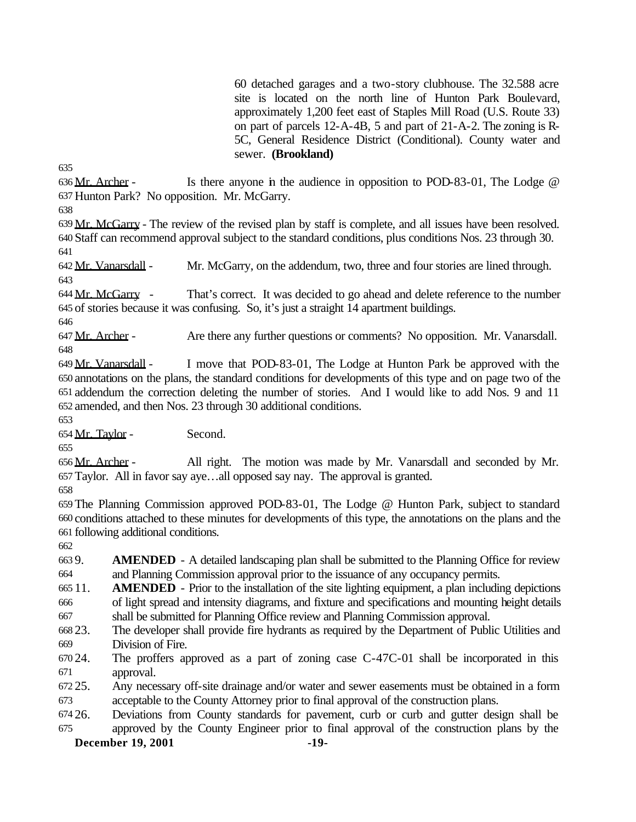60 detached garages and a two-story clubhouse. The 32.588 acre site is located on the north line of Hunton Park Boulevard, approximately 1,200 feet east of Staples Mill Road (U.S. Route 33) on part of parcels 12-A-4B, 5 and part of 21-A-2. The zoning is R-5C, General Residence District (Conditional). County water and sewer. **(Brookland)**

636 Mr. Archer - Is there anyone in the audience in opposition to POD-83-01, The Lodge @ Hunton Park? No opposition. Mr. McGarry.

 Mr. McGarry - The review of the revised plan by staff is complete, and all issues have been resolved. Staff can recommend approval subject to the standard conditions, plus conditions Nos. 23 through 30. 

642 Mr. Vanarsdall - Mr. McGarry, on the addendum, two, three and four stories are lined through. 

644 Mr. McGarry - That's correct. It was decided to go ahead and delete reference to the number of stories because it was confusing. So, it's just a straight 14 apartment buildings.

647 Mr. Archer - Are there any further questions or comments? No opposition. Mr. Vanarsdall. 

 Mr. Vanarsdall - I move that POD-83-01, The Lodge at Hunton Park be approved with the annotations on the plans, the standard conditions for developments of this type and on page two of the addendum the correction deleting the number of stories. And I would like to add Nos. 9 and 11 amended, and then Nos. 23 through 30 additional conditions.

Mr. Taylor - Second.

 Mr. Archer - All right. The motion was made by Mr. Vanarsdall and seconded by Mr. Taylor. All in favor say aye…all opposed say nay. The approval is granted.

 The Planning Commission approved POD-83-01, The Lodge @ Hunton Park, subject to standard conditions attached to these minutes for developments of this type, the annotations on the plans and the following additional conditions.

 9. **AMENDED** - A detailed landscaping plan shall be submitted to the Planning Office for review and Planning Commission approval prior to the issuance of any occupancy permits.

 11. **AMENDED** - Prior to the installation of the site lighting equipment, a plan including depictions of light spread and intensity diagrams, and fixture and specifications and mounting height details shall be submitted for Planning Office review and Planning Commission approval.

 23. The developer shall provide fire hydrants as required by the Department of Public Utilities and Division of Fire.

 24. The proffers approved as a part of zoning case C-47C-01 shall be incorporated in this approval.

 25. Any necessary off-site drainage and/or water and sewer easements must be obtained in a form acceptable to the County Attorney prior to final approval of the construction plans.

 26. Deviations from County standards for pavement, curb or curb and gutter design shall be approved by the County Engineer prior to final approval of the construction plans by the

**December 19, 2001 -19-**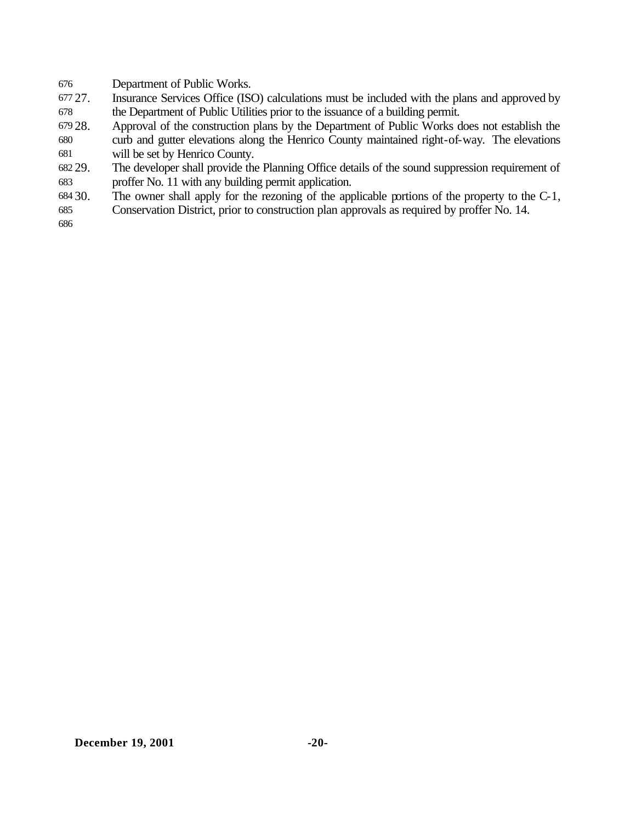Department of Public Works.

- 27. Insurance Services Office (ISO) calculations must be included with the plans and approved by the Department of Public Utilities prior to the issuance of a building permit.
- 28. Approval of the construction plans by the Department of Public Works does not establish the
- curb and gutter elevations along the Henrico County maintained right-of-way. The elevations will be set by Henrico County.
- 29. The developer shall provide the Planning Office details of the sound suppression requirement of proffer No. 11 with any building permit application.
- 30. The owner shall apply for the rezoning of the applicable portions of the property to the C-1,
- Conservation District, prior to construction plan approvals as required by proffer No. 14.
-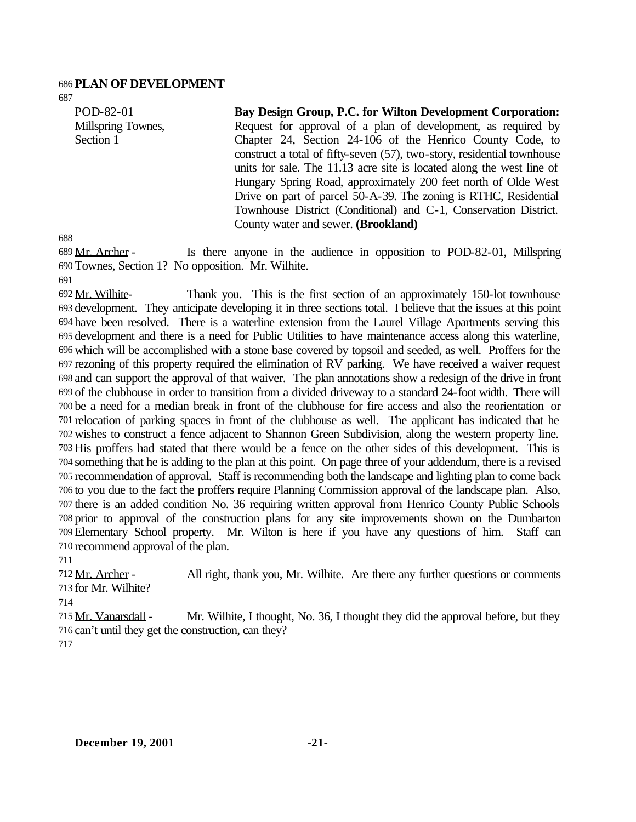#### **PLAN OF DEVELOPMENT**

 POD-82-01 Millspring Townes, Section 1

**Bay Design Group, P.C. for Wilton Development Corporation:**  Request for approval of a plan of development, as required by Chapter 24, Section 24-106 of the Henrico County Code, to construct a total of fifty-seven (57), two-story, residential townhouse units for sale. The 11.13 acre site is located along the west line of Hungary Spring Road, approximately 200 feet north of Olde West Drive on part of parcel 50-A-39. The zoning is RTHC, Residential Townhouse District (Conditional) and C-1, Conservation District. County water and sewer. **(Brookland)**

 Mr. Archer - Is there anyone in the audience in opposition to POD-82-01, Millspring Townes, Section 1? No opposition. Mr. Wilhite.

 Mr. Wilhite- Thank you. This is the first section of an approximately 150-lot townhouse development. They anticipate developing it in three sections total. I believe that the issues at this point have been resolved. There is a waterline extension from the Laurel Village Apartments serving this development and there is a need for Public Utilities to have maintenance access along this waterline, which will be accomplished with a stone base covered by topsoil and seeded, as well. Proffers for the rezoning of this property required the elimination of RV parking. We have received a waiver request and can support the approval of that waiver. The plan annotations show a redesign of the drive in front of the clubhouse in order to transition from a divided driveway to a standard 24-foot width. There will be a need for a median break in front of the clubhouse for fire access and also the reorientation or relocation of parking spaces in front of the clubhouse as well. The applicant has indicated that he wishes to construct a fence adjacent to Shannon Green Subdivision, along the western property line. His proffers had stated that there would be a fence on the other sides of this development. This is something that he is adding to the plan at this point. On page three of your addendum, there is a revised recommendation of approval. Staff is recommending both the landscape and lighting plan to come back to you due to the fact the proffers require Planning Commission approval of the landscape plan. Also, there is an added condition No. 36 requiring written approval from Henrico County Public Schools prior to approval of the construction plans for any site improvements shown on the Dumbarton Elementary School property. Mr. Wilton is here if you have any questions of him. Staff can recommend approval of the plan.

 Mr. Archer - All right, thank you, Mr. Wilhite. Are there any further questions or comments for Mr. Wilhite?

 Mr. Vanarsdall - Mr. Wilhite, I thought, No. 36, I thought they did the approval before, but they can't until they get the construction, can they?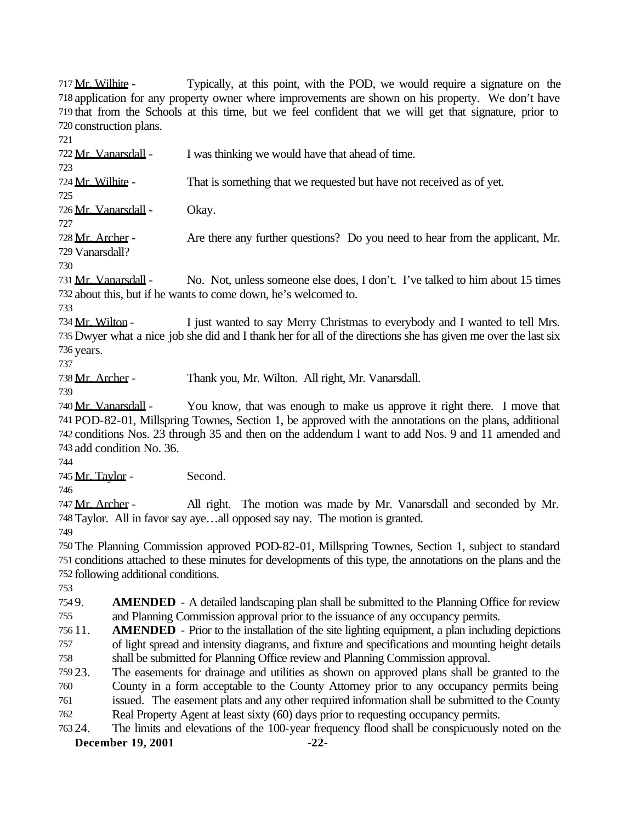Mr. Wilhite - Typically, at this point, with the POD, we would require a signature on the application for any property owner where improvements are shown on his property. We don't have that from the Schools at this time, but we feel confident that we will get that signature, prior to construction plans.

722 Mr. Vanarsdall - I was thinking we would have that ahead of time. 724 Mr. Wilhite - That is something that we requested but have not received as of yet. 726 Mr. Vanarsdall - Okay.

 Mr. Archer - Are there any further questions? Do you need to hear from the applicant, Mr. Vanarsdall?

 Mr. Vanarsdall - No. Not, unless someone else does, I don't. I've talked to him about 15 times about this, but if he wants to come down, he's welcomed to.

734 Mr. Wilton - I just wanted to say Merry Christmas to everybody and I wanted to tell Mrs. Dwyer what a nice job she did and I thank her for all of the directions she has given me over the last six years.

Mr. Archer - Thank you, Mr. Wilton. All right, Mr. Vanarsdall.

 Mr. Vanarsdall - You know, that was enough to make us approve it right there. I move that POD-82-01, Millspring Townes, Section 1, be approved with the annotations on the plans, additional conditions Nos. 23 through 35 and then on the addendum I want to add Nos. 9 and 11 amended and

add condition No. 36.

 Mr. Taylor - Second. 

 Mr. Archer - All right. The motion was made by Mr. Vanarsdall and seconded by Mr. Taylor. All in favor say aye…all opposed say nay. The motion is granted.

 The Planning Commission approved POD-82-01, Millspring Townes, Section 1, subject to standard conditions attached to these minutes for developments of this type, the annotations on the plans and the following additional conditions.

 9. **AMENDED** - A detailed landscaping plan shall be submitted to the Planning Office for review and Planning Commission approval prior to the issuance of any occupancy permits.

 11. **AMENDED** - Prior to the installation of the site lighting equipment, a plan including depictions of light spread and intensity diagrams, and fixture and specifications and mounting height details shall be submitted for Planning Office review and Planning Commission approval.

23. The easements for drainage and utilities as shown on approved plans shall be granted to the

County in a form acceptable to the County Attorney prior to any occupancy permits being

issued. The easement plats and any other required information shall be submitted to the County

Real Property Agent at least sixty (60) days prior to requesting occupancy permits.

**December 19, 2001 -22-** 24. The limits and elevations of the 100-year frequency flood shall be conspicuously noted on the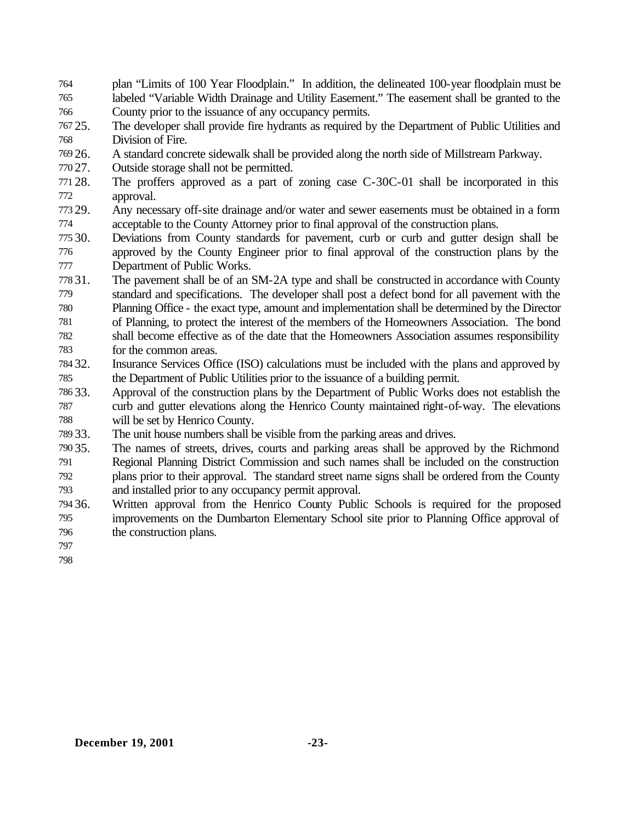- plan "Limits of 100 Year Floodplain." In addition, the delineated 100-year floodplain must be labeled "Variable Width Drainage and Utility Easement." The easement shall be granted to the County prior to the issuance of any occupancy permits.
- 25. The developer shall provide fire hydrants as required by the Department of Public Utilities and Division of Fire.
- 26. A standard concrete sidewalk shall be provided along the north side of Millstream Parkway.
- 27. Outside storage shall not be permitted.
- 28. The proffers approved as a part of zoning case C-30C-01 shall be incorporated in this approval.
- 29. Any necessary off-site drainage and/or water and sewer easements must be obtained in a form acceptable to the County Attorney prior to final approval of the construction plans.
- 30. Deviations from County standards for pavement, curb or curb and gutter design shall be approved by the County Engineer prior to final approval of the construction plans by the Department of Public Works.
- 31. The pavement shall be of an SM-2A type and shall be constructed in accordance with County standard and specifications. The developer shall post a defect bond for all pavement with the Planning Office - the exact type, amount and implementation shall be determined by the Director of Planning, to protect the interest of the members of the Homeowners Association. The bond shall become effective as of the date that the Homeowners Association assumes responsibility for the common areas.
- 32. Insurance Services Office (ISO) calculations must be included with the plans and approved by the Department of Public Utilities prior to the issuance of a building permit.
- 33. Approval of the construction plans by the Department of Public Works does not establish the curb and gutter elevations along the Henrico County maintained right-of-way. The elevations will be set by Henrico County.
- 33. The unit house numbers shall be visible from the parking areas and drives.
- 35. The names of streets, drives, courts and parking areas shall be approved by the Richmond Regional Planning District Commission and such names shall be included on the construction plans prior to their approval. The standard street name signs shall be ordered from the County and installed prior to any occupancy permit approval.
- 36. Written approval from the Henrico County Public Schools is required for the proposed improvements on the Dumbarton Elementary School site prior to Planning Office approval of the construction plans.
- 
-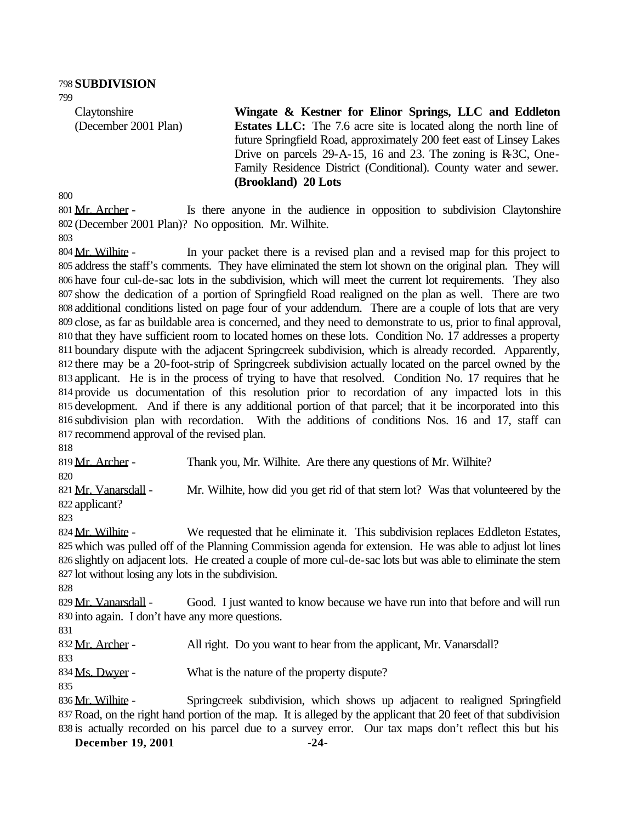**Claytonshire** (December 2001 Plan) **Wingate & Kestner for Elinor Springs, LLC and Eddleton Estates LLC:** The 7.6 acre site is located along the north line of future Springfield Road, approximately 200 feet east of Linsey Lakes Drive on parcels 29-A-15, 16 and 23. The zoning is R-3C, One-Family Residence District (Conditional). County water and sewer. **(Brookland) 20 Lots**

801 Mr. Archer - Is there anyone in the audience in opposition to subdivision Claytonshire (December 2001 Plan)? No opposition. Mr. Wilhite.

804 Mr. Wilhite - In your packet there is a revised plan and a revised map for this project to address the staff's comments. They have eliminated the stem lot shown on the original plan. They will have four cul-de-sac lots in the subdivision, which will meet the current lot requirements. They also show the dedication of a portion of Springfield Road realigned on the plan as well. There are two additional conditions listed on page four of your addendum. There are a couple of lots that are very close, as far as buildable area is concerned, and they need to demonstrate to us, prior to final approval, that they have sufficient room to located homes on these lots. Condition No. 17 addresses a property boundary dispute with the adjacent Springcreek subdivision, which is already recorded. Apparently, there may be a 20-foot-strip of Springcreek subdivision actually located on the parcel owned by the applicant. He is in the process of trying to have that resolved. Condition No. 17 requires that he provide us documentation of this resolution prior to recordation of any impacted lots in this development. And if there is any additional portion of that parcel; that it be incorporated into this subdivision plan with recordation. With the additions of conditions Nos. 16 and 17, staff can recommend approval of the revised plan.

819 Mr. Archer - Thank you, Mr. Wilhite. Are there any questions of Mr. Wilhite?

821 Mr. Vanarsdall - Mr. Wilhite, how did you get rid of that stem lot? Was that volunteered by the applicant?

824 Mr. Wilhite - We requested that he eliminate it. This subdivision replaces Eddleton Estates, which was pulled off of the Planning Commission agenda for extension. He was able to adjust lot lines slightly on adjacent lots. He created a couple of more cul-de-sac lots but was able to eliminate the stem lot without losing any lots in the subdivision.

829 Mr. Vanarsdall - Good. I just wanted to know because we have run into that before and will run into again. I don't have any more questions.

832 Mr. Archer - All right. Do you want to hear from the applicant, Mr. Vanarsdall?

834 Ms. Dwyer - What is the nature of the property dispute?

836 Mr. Wilhite - Springcreek subdivision, which shows up adjacent to realigned Springfield Road, on the right hand portion of the map. It is alleged by the applicant that 20 feet of that subdivision is actually recorded on his parcel due to a survey error. Our tax maps don't reflect this but his

**December 19, 2001 -24-**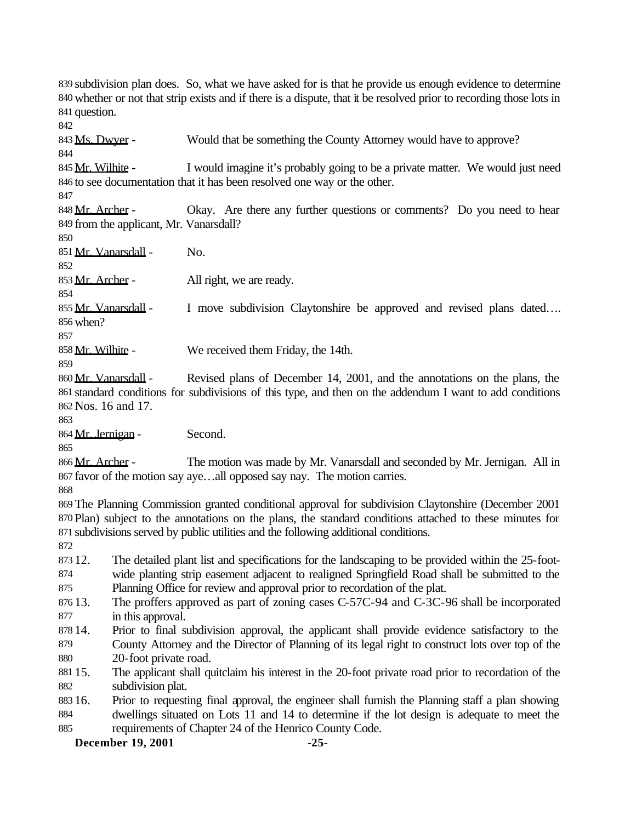subdivision plan does. So, what we have asked for is that he provide us enough evidence to determine whether or not that strip exists and if there is a dispute, that it be resolved prior to recording those lots in question. Ms. Dwyer - Would that be something the County Attorney would have to approve? 845 Mr. Wilhite - I would imagine it's probably going to be a private matter. We would just need to see documentation that it has been resolved one way or the other. 848 Mr. Archer - Okay. Are there any further questions or comments? Do you need to hear from the applicant, Mr. Vanarsdall? Mr. Vanarsdall - No. 853 Mr. Archer - All right, we are ready. 855 Mr. Vanarsdall - I move subdivision Claytonshire be approved and revised plans dated.... when? 858 Mr. Wilhite - We received them Friday, the 14th. Mr. Vanarsdall - Revised plans of December 14, 2001, and the annotations on the plans, the standard conditions for subdivisions of this type, and then on the addendum I want to add conditions Nos. 16 and 17. 864 Mr. Jernigan - Second. 866 Mr. Archer - The motion was made by Mr. Vanarsdall and seconded by Mr. Jernigan. All in favor of the motion say aye…all opposed say nay. The motion carries. The Planning Commission granted conditional approval for subdivision Claytonshire (December 2001 Plan) subject to the annotations on the plans, the standard conditions attached to these minutes for subdivisions served by public utilities and the following additional conditions. 12. The detailed plant list and specifications for the landscaping to be provided within the 25-foot- wide planting strip easement adjacent to realigned Springfield Road shall be submitted to the Planning Office for review and approval prior to recordation of the plat. 13. The proffers approved as part of zoning cases C-57C-94 and C-3C-96 shall be incorporated in this approval. 14. Prior to final subdivision approval, the applicant shall provide evidence satisfactory to the County Attorney and the Director of Planning of its legal right to construct lots over top of the 20-foot private road. 15. The applicant shall quitclaim his interest in the 20-foot private road prior to recordation of the subdivision plat. 16. Prior to requesting final approval, the engineer shall furnish the Planning staff a plan showing dwellings situated on Lots 11 and 14 to determine if the lot design is adequate to meet the requirements of Chapter 24 of the Henrico County Code.

**December 19, 2001 -25-**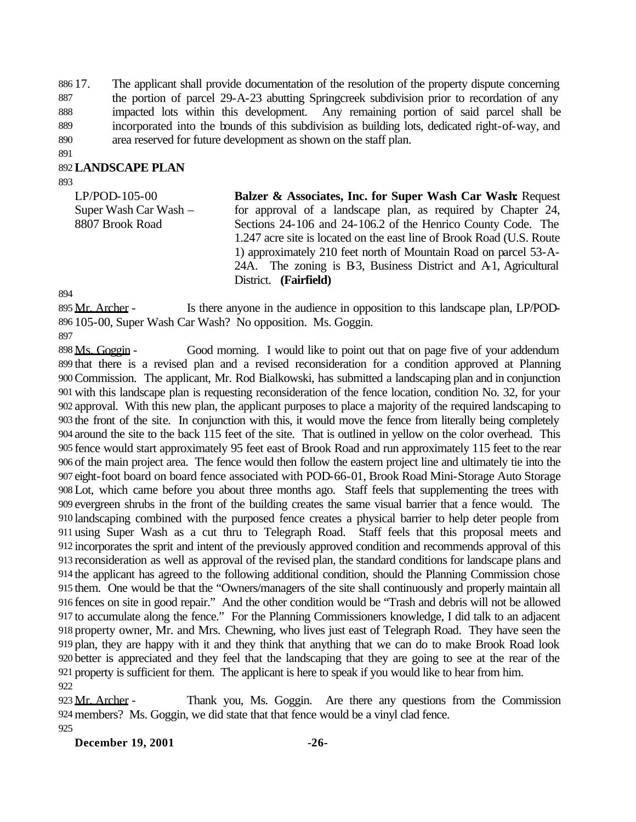17. The applicant shall provide documentation of the resolution of the property dispute concerning 887 the portion of parcel 29-A-23 abutting Springcreek subdivision prior to recordation of any impacted lots within this development. Any remaining portion of said parcel shall be incorporated into the bounds of this subdivision as building lots, dedicated right-of-way, and area reserved for future development as shown on the staff plan.

#### **LANDSCAPE PLAN**

LP/POD-105-00 Super Wash Car Wash – 8807 Brook Road

**Balzer & Associates, Inc. for Super Wash Car Wash:** Request for approval of a landscape plan, as required by Chapter 24, Sections 24-106 and 24-106.2 of the Henrico County Code. The 1.247 acre site is located on the east line of Brook Road (U.S. Route 1) approximately 210 feet north of Mountain Road on parcel 53-A-24A. The zoning is B3, Business District and A1, Agricultural District. **(Fairfield)**

895 Mr. Archer - Is there anyone in the audience in opposition to this landscape plan, LP/POD-105-00, Super Wash Car Wash? No opposition. Ms. Goggin.

898 Ms. Goggin - Good morning. I would like to point out that on page five of your addendum that there is a revised plan and a revised reconsideration for a condition approved at Planning Commission. The applicant, Mr. Rod Bialkowski, has submitted a landscaping plan and in conjunction with this landscape plan is requesting reconsideration of the fence location, condition No. 32, for your approval. With this new plan, the applicant purposes to place a majority of the required landscaping to the front of the site. In conjunction with this, it would move the fence from literally being completely around the site to the back 115 feet of the site. That is outlined in yellow on the color overhead. This fence would start approximately 95 feet east of Brook Road and run approximately 115 feet to the rear of the main project area. The fence would then follow the eastern project line and ultimately tie into the eight-foot board on board fence associated with POD-66-01, Brook Road Mini-Storage Auto Storage Lot, which came before you about three months ago. Staff feels that supplementing the trees with evergreen shrubs in the front of the building creates the same visual barrier that a fence would. The landscaping combined with the purposed fence creates a physical barrier to help deter people from using Super Wash as a cut thru to Telegraph Road. Staff feels that this proposal meets and incorporates the sprit and intent of the previously approved condition and recommends approval of this reconsideration as well as approval of the revised plan, the standard conditions for landscape plans and the applicant has agreed to the following additional condition, should the Planning Commission chose them. One would be that the "Owners/managers of the site shall continuously and properly maintain all fences on site in good repair." And the other condition would be "Trash and debris will not be allowed to accumulate along the fence." For the Planning Commissioners knowledge, I did talk to an adjacent property owner, Mr. and Mrs. Chewning, who lives just east of Telegraph Road. They have seen the plan, they are happy with it and they think that anything that we can do to make Brook Road look better is appreciated and they feel that the landscaping that they are going to see at the rear of the property is sufficient for them. The applicant is here to speak if you would like to hear from him. 

 Mr. Archer - Thank you, Ms. Goggin. Are there any questions from the Commission members? Ms. Goggin, we did state that that fence would be a vinyl clad fence. 

**December 19, 2001 -26-**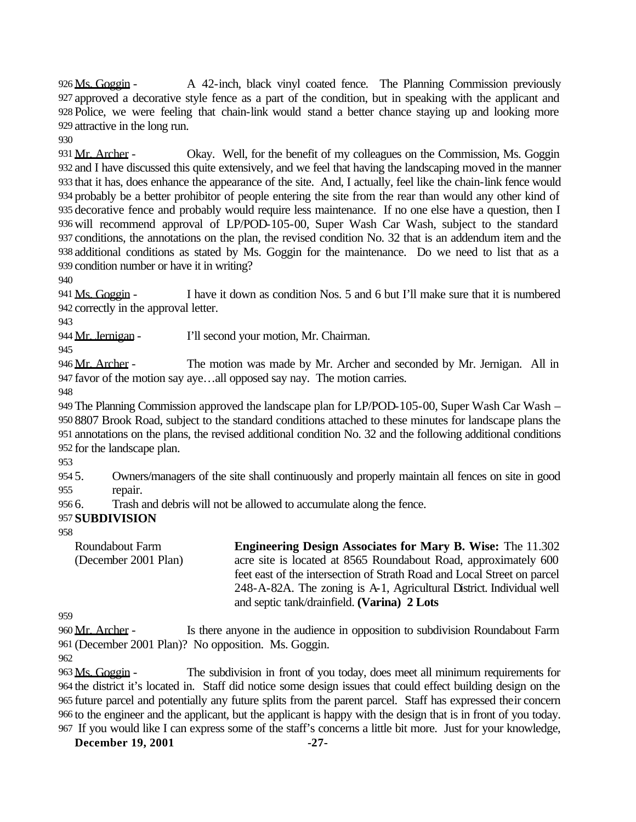Ms. Goggin - A 42-inch, black vinyl coated fence. The Planning Commission previously approved a decorative style fence as a part of the condition, but in speaking with the applicant and Police, we were feeling that chain-link would stand a better chance staying up and looking more attractive in the long run.

931 Mr. Archer - Okay. Well, for the benefit of my colleagues on the Commission, Ms. Goggin and I have discussed this quite extensively, and we feel that having the landscaping moved in the manner that it has, does enhance the appearance of the site. And, I actually, feel like the chain-link fence would probably be a better prohibitor of people entering the site from the rear than would any other kind of decorative fence and probably would require less maintenance. If no one else have a question, then I will recommend approval of LP/POD-105-00, Super Wash Car Wash, subject to the standard conditions, the annotations on the plan, the revised condition No. 32 that is an addendum item and the additional conditions as stated by Ms. Goggin for the maintenance. Do we need to list that as a condition number or have it in writing?

 Ms. Goggin - I have it down as condition Nos. 5 and 6 but I'll make sure that it is numbered correctly in the approval letter.

944 Mr. Jernigan - I'll second your motion, Mr. Chairman.

946 Mr. Archer - The motion was made by Mr. Archer and seconded by Mr. Jernigan. All in favor of the motion say aye…all opposed say nay. The motion carries.

 The Planning Commission approved the landscape plan for LP/POD-105-00, Super Wash Car Wash – 8807 Brook Road, subject to the standard conditions attached to these minutes for landscape plans the annotations on the plans, the revised additional condition No. 32 and the following additional conditions for the landscape plan.

 5. Owners/managers of the site shall continuously and properly maintain all fences on site in good repair.

6. Trash and debris will not be allowed to accumulate along the fence.

# **SUBDIVISION**

Roundabout Farm (December 2001 Plan) **Engineering Design Associates for Mary B. Wise:** The 11.302 acre site is located at 8565 Roundabout Road, approximately 600 feet east of the intersection of Strath Road and Local Street on parcel 248-A-82A. The zoning is A-1, Agricultural District. Individual well and septic tank/drainfield. **(Varina) 2 Lots**

960 Mr. Archer - Is there anyone in the audience in opposition to subdivision Roundabout Farm (December 2001 Plan)? No opposition. Ms. Goggin.

963 Ms. Goggin - The subdivision in front of you today, does meet all minimum requirements for the district it's located in. Staff did notice some design issues that could effect building design on the future parcel and potentially any future splits from the parent parcel. Staff has expressed their concern to the engineer and the applicant, but the applicant is happy with the design that is in front of you today. If you would like I can express some of the staff's concerns a little bit more. Just for your knowledge,

**December 19, 2001 -27-**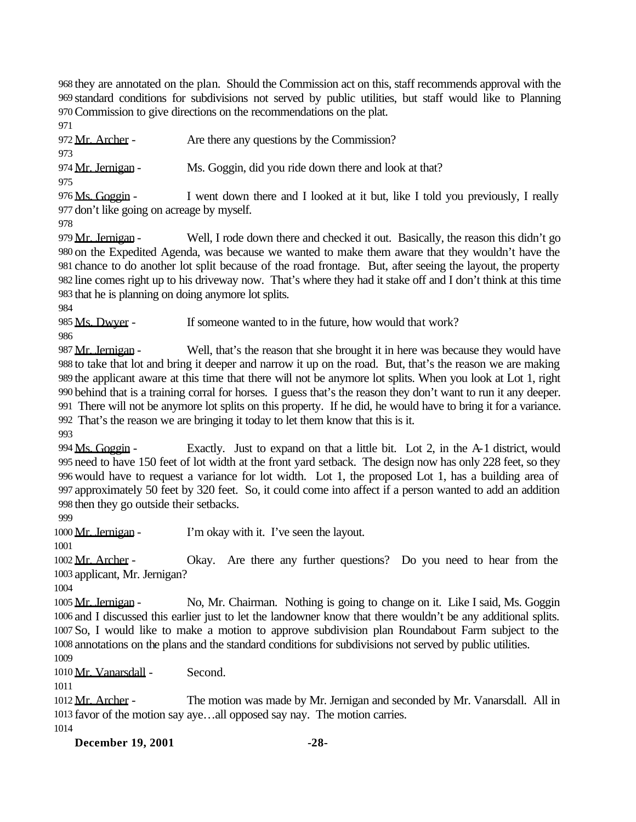they are annotated on the plan. Should the Commission act on this, staff recommends approval with the standard conditions for subdivisions not served by public utilities, but staff would like to Planning Commission to give directions on the recommendations on the plat.

972 <u>Mr. Archer</u> - Are there any questions by the Commission?

 974 Mr. Jernigan - Ms. Goggin, did you ride down there and look at that?

976 Ms. Goggin - I went down there and I looked at it but, like I told you previously, I really don't like going on acreage by myself.

979 Mr. Jernigan - Well, I rode down there and checked it out. Basically, the reason this didn't go on the Expedited Agenda, was because we wanted to make them aware that they wouldn't have the chance to do another lot split because of the road frontage. But, after seeing the layout, the property line comes right up to his driveway now. That's where they had it stake off and I don't think at this time that he is planning on doing anymore lot splits.

 Ms. Dwyer - If someone wanted to in the future, how would that work? 

987 Mr. Jernigan - Well, that's the reason that she brought it in here was because they would have to take that lot and bring it deeper and narrow it up on the road. But, that's the reason we are making the applicant aware at this time that there will not be anymore lot splits. When you look at Lot 1, right behind that is a training corral for horses. I guess that's the reason they don't want to run it any deeper. There will not be anymore lot splits on this property. If he did, he would have to bring it for a variance. That's the reason we are bringing it today to let them know that this is it.

994 Ms. Goggin - Exactly. Just to expand on that a little bit. Lot 2, in the A-1 district, would need to have 150 feet of lot width at the front yard setback. The design now has only 228 feet, so they would have to request a variance for lot width. Lot 1, the proposed Lot 1, has a building area of approximately 50 feet by 320 feet. So, it could come into affect if a person wanted to add an addition then they go outside their setbacks.

1000 Mr. Jernigan - I'm okay with it. I've seen the layout.

 Mr. Archer - Okay. Are there any further questions? Do you need to hear from the applicant, Mr. Jernigan?

 Mr. Jernigan - No, Mr. Chairman. Nothing is going to change on it. Like I said, Ms. Goggin and I discussed this earlier just to let the landowner know that there wouldn't be any additional splits. So, I would like to make a motion to approve subdivision plan Roundabout Farm subject to the annotations on the plans and the standard conditions for subdivisions not served by public utilities. 

1010 Mr. Vanarsdall - Second.

1012 Mr. Archer - The motion was made by Mr. Jernigan and seconded by Mr. Vanarsdall. All in favor of the motion say aye…all opposed say nay. The motion carries. 

**December 19, 2001 -28-**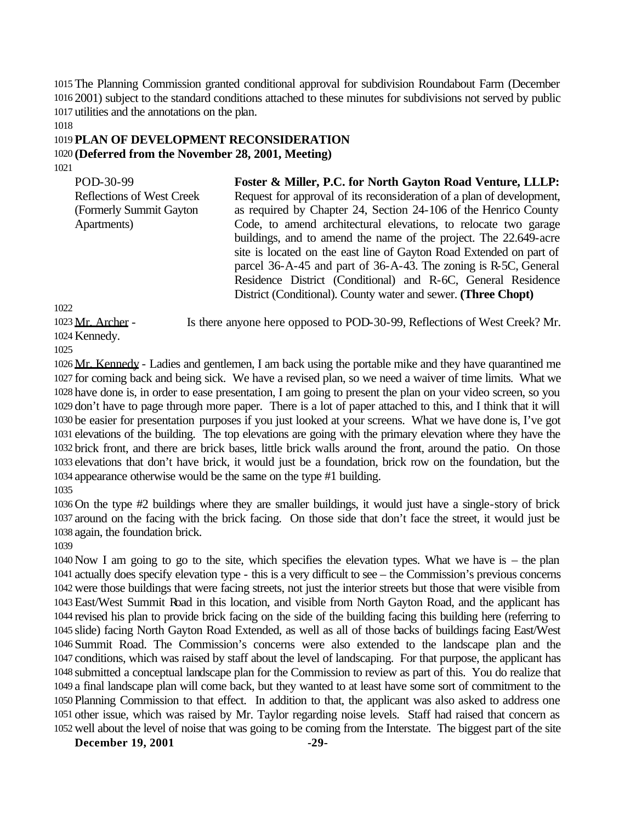The Planning Commission granted conditional approval for subdivision Roundabout Farm (December 2001) subject to the standard conditions attached to these minutes for subdivisions not served by public utilities and the annotations on the plan.

### **PLAN OF DEVELOPMENT RECONSIDERATION (Deferred from the November 28, 2001, Meeting)**

| POD-30-99                        | Foster & Miller, P.C. for North Gayton Road Venture, LLLP:            |
|----------------------------------|-----------------------------------------------------------------------|
| <b>Reflections of West Creek</b> | Request for approval of its reconsideration of a plan of development, |
| (Formerly Summit Gayton)         | as required by Chapter 24, Section 24-106 of the Henrico County       |
| Apartments)                      | Code, to amend architectural elevations, to relocate two garage       |
|                                  | buildings, and to amend the name of the project. The 22.649-acre      |
|                                  | site is located on the east line of Gayton Road Extended on part of   |
|                                  | parcel 36-A-45 and part of 36-A-43. The zoning is R-5C, General       |
|                                  | Residence District (Conditional) and R-6C, General Residence          |
|                                  | District (Conditional). County water and sewer. (Three Chopt)         |
|                                  |                                                                       |

1023 Mr. Archer - Is there anyone here opposed to POD-30-99, Reflections of West Creek? Mr. Kennedy.

 Mr. Kennedy - Ladies and gentlemen, I am back using the portable mike and they have quarantined me for coming back and being sick. We have a revised plan, so we need a waiver of time limits. What we have done is, in order to ease presentation, I am going to present the plan on your video screen, so you don't have to page through more paper. There is a lot of paper attached to this, and I think that it will be easier for presentation purposes if you just looked at your screens. What we have done is, I've got elevations of the building. The top elevations are going with the primary elevation where they have the brick front, and there are brick bases, little brick walls around the front, around the patio. On those elevations that don't have brick, it would just be a foundation, brick row on the foundation, but the appearance otherwise would be the same on the type #1 building.

 On the type #2 buildings where they are smaller buildings, it would just have a single-story of brick around on the facing with the brick facing. On those side that don't face the street, it would just be again, the foundation brick.

 Now I am going to go to the site, which specifies the elevation types. What we have is – the plan actually does specify elevation type - this is a very difficult to see – the Commission's previous concerns were those buildings that were facing streets, not just the interior streets but those that were visible from East/West Summit Road in this location, and visible from North Gayton Road, and the applicant has revised his plan to provide brick facing on the side of the building facing this building here (referring to slide) facing North Gayton Road Extended, as well as all of those backs of buildings facing East/West Summit Road. The Commission's concerns were also extended to the landscape plan and the conditions, which was raised by staff about the level of landscaping. For that purpose, the applicant has submitted a conceptual landscape plan for the Commission to review as part of this. You do realize that a final landscape plan will come back, but they wanted to at least have some sort of commitment to the Planning Commission to that effect. In addition to that, the applicant was also asked to address one other issue, which was raised by Mr. Taylor regarding noise levels. Staff had raised that concern as well about the level of noise that was going to be coming from the Interstate. The biggest part of the site

**December 19, 2001 -29-**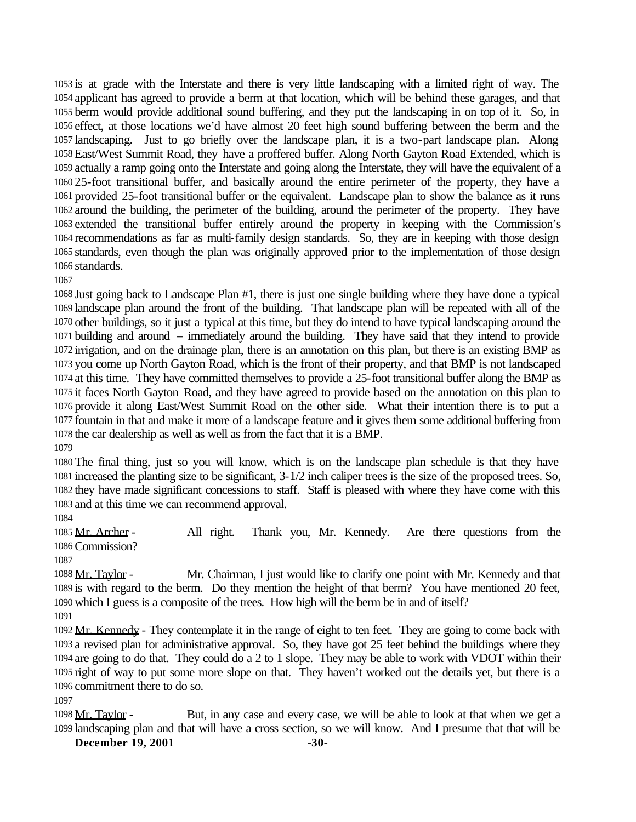is at grade with the Interstate and there is very little landscaping with a limited right of way. The applicant has agreed to provide a berm at that location, which will be behind these garages, and that berm would provide additional sound buffering, and they put the landscaping in on top of it. So, in effect, at those locations we'd have almost 20 feet high sound buffering between the berm and the landscaping. Just to go briefly over the landscape plan, it is a two-part landscape plan. Along East/West Summit Road, they have a proffered buffer. Along North Gayton Road Extended, which is actually a ramp going onto the Interstate and going along the Interstate, they will have the equivalent of a 25-foot transitional buffer, and basically around the entire perimeter of the property, they have a provided 25-foot transitional buffer or the equivalent. Landscape plan to show the balance as it runs around the building, the perimeter of the building, around the perimeter of the property. They have extended the transitional buffer entirely around the property in keeping with the Commission's recommendations as far as multi-family design standards. So, they are in keeping with those design standards, even though the plan was originally approved prior to the implementation of those design standards.

 Just going back to Landscape Plan #1, there is just one single building where they have done a typical landscape plan around the front of the building. That landscape plan will be repeated with all of the other buildings, so it just a typical at this time, but they do intend to have typical landscaping around the building and around – immediately around the building. They have said that they intend to provide irrigation, and on the drainage plan, there is an annotation on this plan, but there is an existing BMP as you come up North Gayton Road, which is the front of their property, and that BMP is not landscaped at this time. They have committed themselves to provide a 25-foot transitional buffer along the BMP as it faces North Gayton Road, and they have agreed to provide based on the annotation on this plan to provide it along East/West Summit Road on the other side. What their intention there is to put a fountain in that and make it more of a landscape feature and it gives them some additional buffering from the car dealership as well as well as from the fact that it is a BMP.

 The final thing, just so you will know, which is on the landscape plan schedule is that they have increased the planting size to be significant, 3-1/2 inch caliper trees is the size of the proposed trees. So, they have made significant concessions to staff. Staff is pleased with where they have come with this and at this time we can recommend approval.

 Mr. Archer - All right. Thank you, Mr. Kennedy. Are there questions from the Commission?

 Mr. Taylor - Mr. Chairman, I just would like to clarify one point with Mr. Kennedy and that is with regard to the berm. Do they mention the height of that berm? You have mentioned 20 feet, which I guess is a composite of the trees. How high will the berm be in and of itself?

1092 Mr. Kennedy - They contemplate it in the range of eight to ten feet. They are going to come back with a revised plan for administrative approval. So, they have got 25 feet behind the buildings where they are going to do that. They could do a 2 to 1 slope. They may be able to work with VDOT within their right of way to put some more slope on that. They haven't worked out the details yet, but there is a commitment there to do so.

 Mr. Taylor - But, in any case and every case, we will be able to look at that when we get a landscaping plan and that will have a cross section, so we will know. And I presume that that will be

**December 19, 2001 -30-**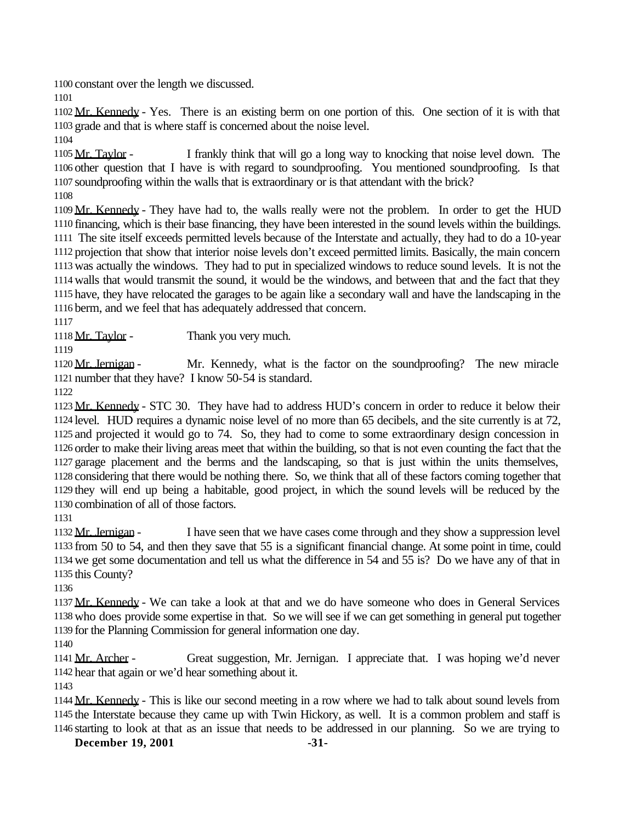constant over the length we discussed.

 Mr. Kennedy - Yes. There is an existing berm on one portion of this. One section of it is with that grade and that is where staff is concerned about the noise level.

1105 Mr. Taylor - I frankly think that will go a long way to knocking that noise level down. The other question that I have is with regard to soundproofing. You mentioned soundproofing. Is that soundproofing within the walls that is extraordinary or is that attendant with the brick?

1109 Mr. Kennedy - They have had to, the walls really were not the problem. In order to get the HUD financing, which is their base financing, they have been interested in the sound levels within the buildings. The site itself exceeds permitted levels because of the Interstate and actually, they had to do a 10-year projection that show that interior noise levels don't exceed permitted limits. Basically, the main concern was actually the windows. They had to put in specialized windows to reduce sound levels. It is not the walls that would transmit the sound, it would be the windows, and between that and the fact that they have, they have relocated the garages to be again like a secondary wall and have the landscaping in the berm, and we feel that has adequately addressed that concern.

1118 Mr. Taylor - Thank you very much.

1120 Mr. Jernigan - Mr. Kennedy, what is the factor on the soundproofing? The new miracle number that they have? I know 50-54 is standard.

 Mr. Kennedy - STC 30. They have had to address HUD's concern in order to reduce it below their level. HUD requires a dynamic noise level of no more than 65 decibels, and the site currently is at 72, and projected it would go to 74. So, they had to come to some extraordinary design concession in order to make their living areas meet that within the building, so that is not even counting the fact that the garage placement and the berms and the landscaping, so that is just within the units themselves, considering that there would be nothing there. So, we think that all of these factors coming together that they will end up being a habitable, good project, in which the sound levels will be reduced by the combination of all of those factors.

 Mr. Jernigan - I have seen that we have cases come through and they show a suppression level from 50 to 54, and then they save that 55 is a significant financial change. At some point in time, could we get some documentation and tell us what the difference in 54 and 55 is? Do we have any of that in this County?

 Mr. Kennedy - We can take a look at that and we do have someone who does in General Services who does provide some expertise in that. So we will see if we can get something in general put together for the Planning Commission for general information one day.

1141 Mr. Archer - Great suggestion, Mr. Jernigan. I appreciate that. I was hoping we'd never hear that again or we'd hear something about it.

 Mr. Kennedy - This is like our second meeting in a row where we had to talk about sound levels from the Interstate because they came up with Twin Hickory, as well. It is a common problem and staff is starting to look at that as an issue that needs to be addressed in our planning. So we are trying to

**December 19, 2001 -31-**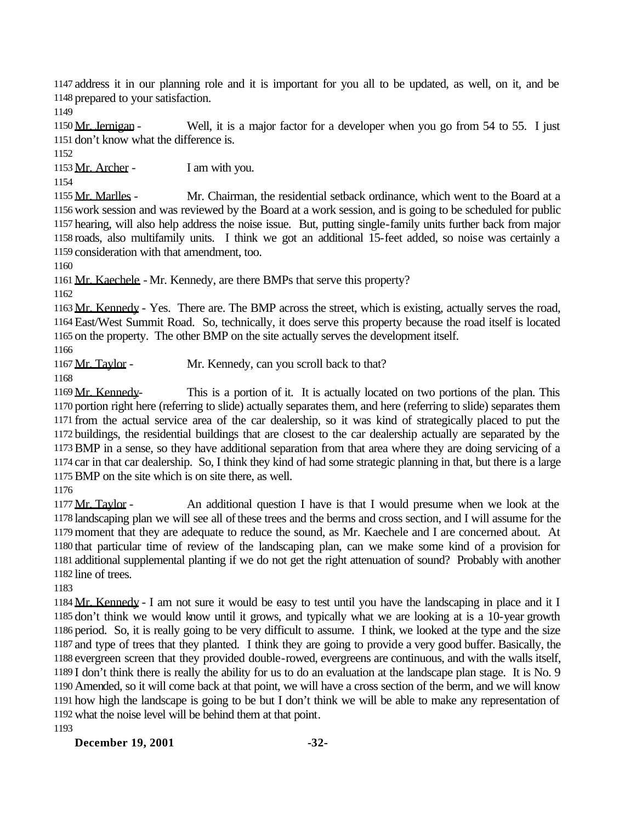address it in our planning role and it is important for you all to be updated, as well, on it, and be prepared to your satisfaction.

1150 Mr. Jernigan - Well, it is a major factor for a developer when you go from 54 to 55. I just don't know what the difference is.

1153 Mr. Archer - I am with you.

 Mr. Marlles - Mr. Chairman, the residential setback ordinance, which went to the Board at a work session and was reviewed by the Board at a work session, and is going to be scheduled for public hearing, will also help address the noise issue. But, putting single-family units further back from major roads, also multifamily units. I think we got an additional 15-feet added, so noise was certainly a consideration with that amendment, too.

Mr. Kaechele - Mr. Kennedy, are there BMPs that serve this property?

 Mr. Kennedy - Yes. There are. The BMP across the street, which is existing, actually serves the road, East/West Summit Road. So, technically, it does serve this property because the road itself is located on the property. The other BMP on the site actually serves the development itself.

1167 Mr. Taylor - Mr. Kennedy, can you scroll back to that?

1169 Mr. Kennedy- This is a portion of it. It is actually located on two portions of the plan. This portion right here (referring to slide) actually separates them, and here (referring to slide) separates them from the actual service area of the car dealership, so it was kind of strategically placed to put the buildings, the residential buildings that are closest to the car dealership actually are separated by the BMP in a sense, so they have additional separation from that area where they are doing servicing of a car in that car dealership. So, I think they kind of had some strategic planning in that, but there is a large BMP on the site which is on site there, as well.

 Mr. Taylor - An additional question I have is that I would presume when we look at the landscaping plan we will see all of these trees and the berms and cross section, and I will assume for the moment that they are adequate to reduce the sound, as Mr. Kaechele and I are concerned about. At that particular time of review of the landscaping plan, can we make some kind of a provision for additional supplemental planting if we do not get the right attenuation of sound? Probably with another line of trees.

 Mr. Kennedy - I am not sure it would be easy to test until you have the landscaping in place and it I don't think we would know until it grows, and typically what we are looking at is a 10-year growth period. So, it is really going to be very difficult to assume. I think, we looked at the type and the size and type of trees that they planted. I think they are going to provide a very good buffer. Basically, the evergreen screen that they provided double-rowed, evergreens are continuous, and with the walls itself, I don't think there is really the ability for us to do an evaluation at the landscape plan stage. It is No. 9 Amended, so it will come back at that point, we will have a cross section of the berm, and we will know how high the landscape is going to be but I don't think we will be able to make any representation of what the noise level will be behind them at that point. 

**December 19, 2001 -32-**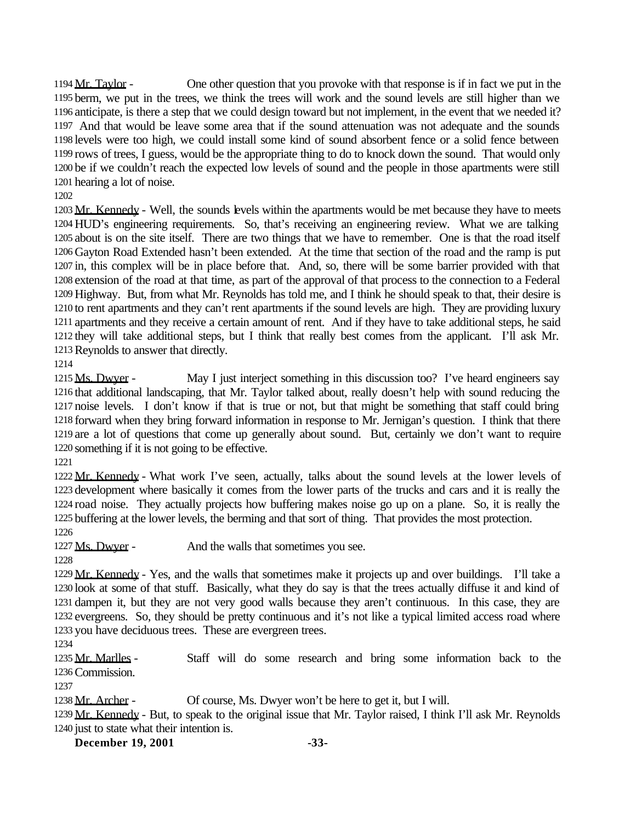Mr. Taylor - One other question that you provoke with that response is if in fact we put in the berm, we put in the trees, we think the trees will work and the sound levels are still higher than we anticipate, is there a step that we could design toward but not implement, in the event that we needed it? And that would be leave some area that if the sound attenuation was not adequate and the sounds levels were too high, we could install some kind of sound absorbent fence or a solid fence between rows of trees, I guess, would be the appropriate thing to do to knock down the sound. That would only be if we couldn't reach the expected low levels of sound and the people in those apartments were still hearing a lot of noise.

1203 Mr. Kennedy - Well, the sounds levels within the apartments would be met because they have to meets HUD's engineering requirements. So, that's receiving an engineering review. What we are talking about is on the site itself. There are two things that we have to remember. One is that the road itself Gayton Road Extended hasn't been extended. At the time that section of the road and the ramp is put in, this complex will be in place before that. And, so, there will be some barrier provided with that extension of the road at that time, as part of the approval of that process to the connection to a Federal Highway. But, from what Mr. Reynolds has told me, and I think he should speak to that, their desire is to rent apartments and they can't rent apartments if the sound levels are high. They are providing luxury apartments and they receive a certain amount of rent. And if they have to take additional steps, he said they will take additional steps, but I think that really best comes from the applicant. I'll ask Mr. Reynolds to answer that directly.

1215 Ms. Dwyer - May I just interject something in this discussion too? I've heard engineers say that additional landscaping, that Mr. Taylor talked about, really doesn't help with sound reducing the noise levels. I don't know if that is true or not, but that might be something that staff could bring forward when they bring forward information in response to Mr. Jernigan's question. I think that there are a lot of questions that come up generally about sound. But, certainly we don't want to require something if it is not going to be effective.

 Mr. Kennedy - What work I've seen, actually, talks about the sound levels at the lower levels of development where basically it comes from the lower parts of the trucks and cars and it is really the road noise. They actually projects how buffering makes noise go up on a plane. So, it is really the buffering at the lower levels, the berming and that sort of thing. That provides the most protection.

1227 Ms. Dwyer - And the walls that sometimes you see.

 Mr. Kennedy - Yes, and the walls that sometimes make it projects up and over buildings. I'll take a look at some of that stuff. Basically, what they do say is that the trees actually diffuse it and kind of dampen it, but they are not very good walls because they aren't continuous. In this case, they are evergreens. So, they should be pretty continuous and it's not like a typical limited access road where you have deciduous trees. These are evergreen trees.

 Mr. Marlles - Staff will do some research and bring some information back to the Commission.

1238 Mr. Archer - Of course, Ms. Dwyer won't be here to get it, but I will.

 Mr. Kennedy - But, to speak to the original issue that Mr. Taylor raised, I think I'll ask Mr. Reynolds just to state what their intention is.

**December 19, 2001 -33-**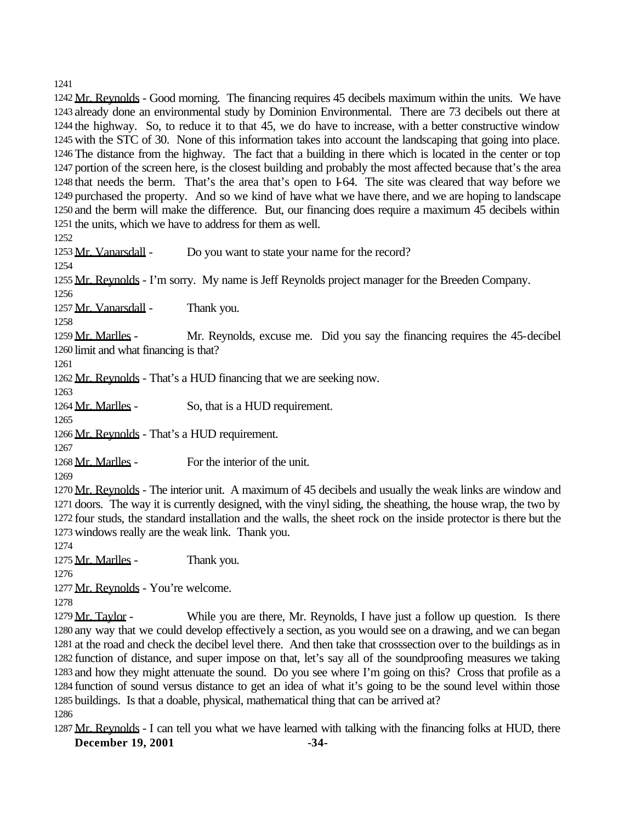Mr. Reynolds - Good morning. The financing requires 45 decibels maximum within the units. We have already done an environmental study by Dominion Environmental. There are 73 decibels out there at the highway. So, to reduce it to that 45, we do have to increase, with a better constructive window with the STC of 30. None of this information takes into account the landscaping that going into place. The distance from the highway. The fact that a building in there which is located in the center or top portion of the screen here, is the closest building and probably the most affected because that's the area that needs the berm. That's the area that's open to I-64. The site was cleared that way before we purchased the property. And so we kind of have what we have there, and we are hoping to landscape and the berm will make the difference. But, our financing does require a maximum 45 decibels within the units, which we have to address for them as well.

1253 Mr. Vanarsdall - Do you want to state your name for the record?

Mr. Reynolds - I'm sorry. My name is Jeff Reynolds project manager for the Breeden Company.

1257 Mr. Vanarsdall - Thank you.

1259 Mr. Marlles - Mr. Reynolds, excuse me. Did you say the financing requires the 45-decibel limit and what financing is that?

Mr. Reynolds - That's a HUD financing that we are seeking now.

1264 Mr. Marlles - So, that is a HUD requirement.

Mr. Reynolds - That's a HUD requirement.

Mr. Marlles - For the interior of the unit.

1270 Mr. Reynolds - The interior unit. A maximum of 45 decibels and usually the weak links are window and doors. The way it is currently designed, with the vinyl siding, the sheathing, the house wrap, the two by four studs, the standard installation and the walls, the sheet rock on the inside protector is there but the windows really are the weak link. Thank you.

1275 Mr. Marlles - Thank you.

Mr. Reynolds - You're welcome.

1279 Mr. Taylor - While you are there, Mr. Reynolds, I have just a follow up question. Is there any way that we could develop effectively a section, as you would see on a drawing, and we can began at the road and check the decibel level there. And then take that crosssection over to the buildings as in function of distance, and super impose on that, let's say all of the soundproofing measures we taking and how they might attenuate the sound. Do you see where I'm going on this? Cross that profile as a function of sound versus distance to get an idea of what it's going to be the sound level within those buildings. Is that a doable, physical, mathematical thing that can be arrived at? 

**December 19, 2001 -34-** 1287 Mr. Reynolds - I can tell you what we have learned with talking with the financing folks at HUD, there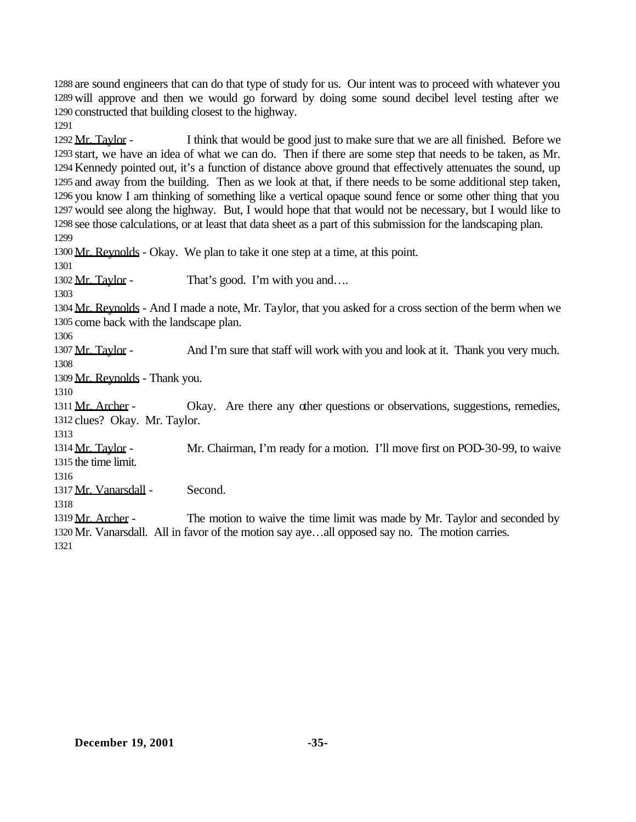are sound engineers that can do that type of study for us. Our intent was to proceed with whatever you will approve and then we would go forward by doing some sound decibel level testing after we constructed that building closest to the highway.

1292 Mr. Taylor - I think that would be good just to make sure that we are all finished. Before we start, we have an idea of what we can do. Then if there are some step that needs to be taken, as Mr. Kennedy pointed out, it's a function of distance above ground that effectively attenuates the sound, up and away from the building. Then as we look at that, if there needs to be some additional step taken, you know I am thinking of something like a vertical opaque sound fence or some other thing that you would see along the highway. But, I would hope that that would not be necessary, but I would like to see those calculations, or at least that data sheet as a part of this submission for the landscaping plan. 

Mr. Reynolds - Okay. We plan to take it one step at a time, at this point.

1302 Mr. Taylor - That's good. I'm with you and....

1304 Mr. Reynolds - And I made a note, Mr. Taylor, that you asked for a cross section of the berm when we come back with the landscape plan.

1307 Mr. Taylor - And I'm sure that staff will work with you and look at it. Thank you very much. 

Mr. Reynolds - Thank you.

1311 Mr. Archer - Okay. Are there any other questions or observations, suggestions, remedies, clues? Okay. Mr. Taylor.

1314 Mr. Taylor - Mr. Chairman, I'm ready for a motion. I'll move first on POD-30-99, to waive the time limit.

Mr. Vanarsdall - Second.

1319 Mr. Archer - The motion to waive the time limit was made by Mr. Taylor and seconded by Mr. Vanarsdall. All in favor of the motion say aye…all opposed say no. The motion carries.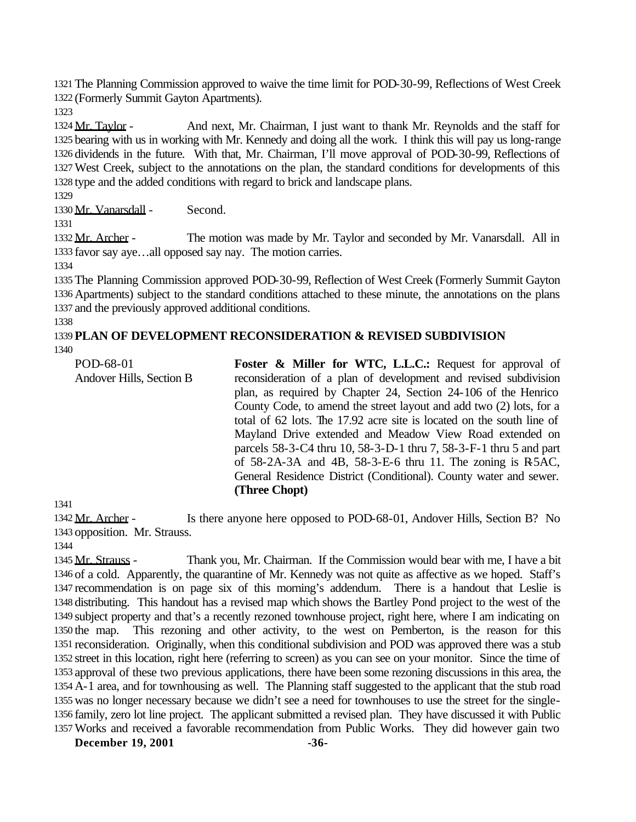The Planning Commission approved to waive the time limit for POD-30-99, Reflections of West Creek (Formerly Summit Gayton Apartments).

1324 Mr. Taylor - And next, Mr. Chairman, I just want to thank Mr. Reynolds and the staff for bearing with us in working with Mr. Kennedy and doing all the work. I think this will pay us long-range dividends in the future. With that, Mr. Chairman, I'll move approval of POD-30-99, Reflections of West Creek, subject to the annotations on the plan, the standard conditions for developments of this type and the added conditions with regard to brick and landscape plans.

Mr. Vanarsdall - Second.

1332 Mr. Archer - The motion was made by Mr. Taylor and seconded by Mr. Vanarsdall. All in favor say aye…all opposed say nay. The motion carries.

 The Planning Commission approved POD-30-99, Reflection of West Creek (Formerly Summit Gayton Apartments) subject to the standard conditions attached to these minute, the annotations on the plans and the previously approved additional conditions.

#### **PLAN OF DEVELOPMENT RECONSIDERATION & REVISED SUBDIVISION**

POD-68-01 Andover Hills, Section B **Foster & Miller for WTC, L.L.C.:** Request for approval of reconsideration of a plan of development and revised subdivision plan, as required by Chapter 24, Section 24-106 of the Henrico County Code, to amend the street layout and add two (2) lots, for a total of 62 lots. The 17.92 acre site is located on the south line of Mayland Drive extended and Meadow View Road extended on parcels 58-3-C4 thru 10, 58-3-D-1 thru 7, 58-3-F-1 thru 5 and part of  $58-2A-3A$  and  $4B$ ,  $58-3-E-6$  thru 11. The zoning is R $5AC$ , General Residence District (Conditional). County water and sewer. **(Three Chopt)**

1342 Mr. Archer - Is there anyone here opposed to POD-68-01, Andover Hills, Section B? No opposition. Mr. Strauss.

 Mr. Strauss - Thank you, Mr. Chairman. If the Commission would bear with me, I have a bit of a cold. Apparently, the quarantine of Mr. Kennedy was not quite as affective as we hoped. Staff's recommendation is on page six of this morning's addendum. There is a handout that Leslie is distributing. This handout has a revised map which shows the Bartley Pond project to the west of the subject property and that's a recently rezoned townhouse project, right here, where I am indicating on the map. This rezoning and other activity, to the west on Pemberton, is the reason for this reconsideration. Originally, when this conditional subdivision and POD was approved there was a stub street in this location, right here (referring to screen) as you can see on your monitor. Since the time of approval of these two previous applications, there have been some rezoning discussions in this area, the A-1 area, and for townhousing as well. The Planning staff suggested to the applicant that the stub road was no longer necessary because we didn't see a need for townhouses to use the street for the single- family, zero lot line project. The applicant submitted a revised plan. They have discussed it with Public Works and received a favorable recommendation from Public Works. They did however gain two

**December 19, 2001 -36-**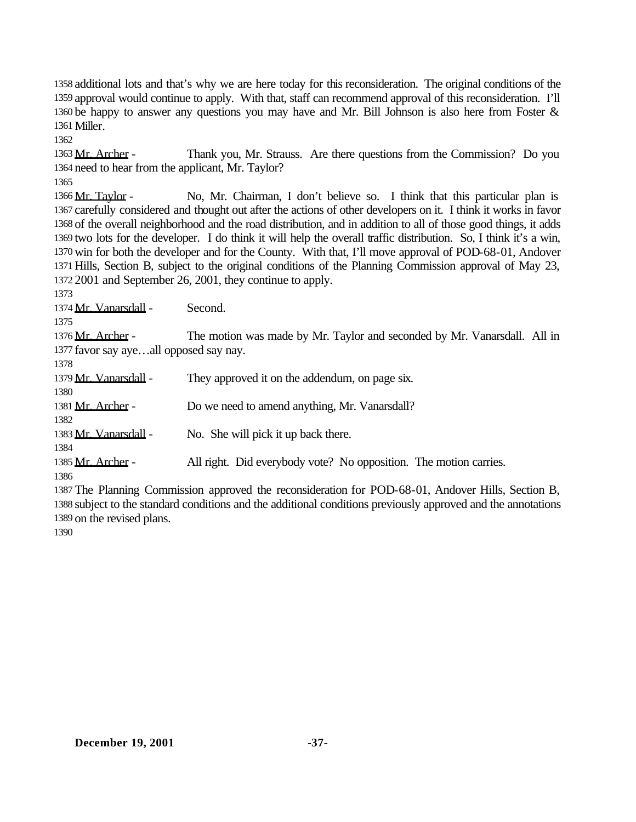additional lots and that's why we are here today for this reconsideration. The original conditions of the approval would continue to apply. With that, staff can recommend approval of this reconsideration. I'll be happy to answer any questions you may have and Mr. Bill Johnson is also here from Foster & Miller.

1363 Mr. Archer - Thank you, Mr. Strauss. Are there questions from the Commission? Do you need to hear from the applicant, Mr. Taylor?

 Mr. Taylor - No, Mr. Chairman, I don't believe so. I think that this particular plan is carefully considered and thought out after the actions of other developers on it. I think it works in favor of the overall neighborhood and the road distribution, and in addition to all of those good things, it adds two lots for the developer. I do think it will help the overall traffic distribution. So, I think it's a win, win for both the developer and for the County. With that, I'll move approval of POD-68-01, Andover Hills, Section B, subject to the original conditions of the Planning Commission approval of May 23, 2001 and September 26, 2001, they continue to apply.

1374 Mr. Vanarsdall - Second.

1376 Mr. Archer - The motion was made by Mr. Taylor and seconded by Mr. Vanarsdall. All in favor say aye…all opposed say nay.

| 1378                  |                                                                   |
|-----------------------|-------------------------------------------------------------------|
| 1379 Mr. Vanarsdall - | They approved it on the addendum, on page six.                    |
| 1380                  |                                                                   |
| 1381 Mr. Archer -     | Do we need to amend anything, Mr. Vanarsdall?                     |
| 1382                  |                                                                   |
| 1383 Mr. Vanarsdall - | No. She will pick it up back there.                               |
| 1384                  |                                                                   |
| 1385 Mr. Archer -     | All right. Did everybody vote? No opposition. The motion carries. |
| 1386                  |                                                                   |

 The Planning Commission approved the reconsideration for POD-68-01, Andover Hills, Section B, subject to the standard conditions and the additional conditions previously approved and the annotations on the revised plans.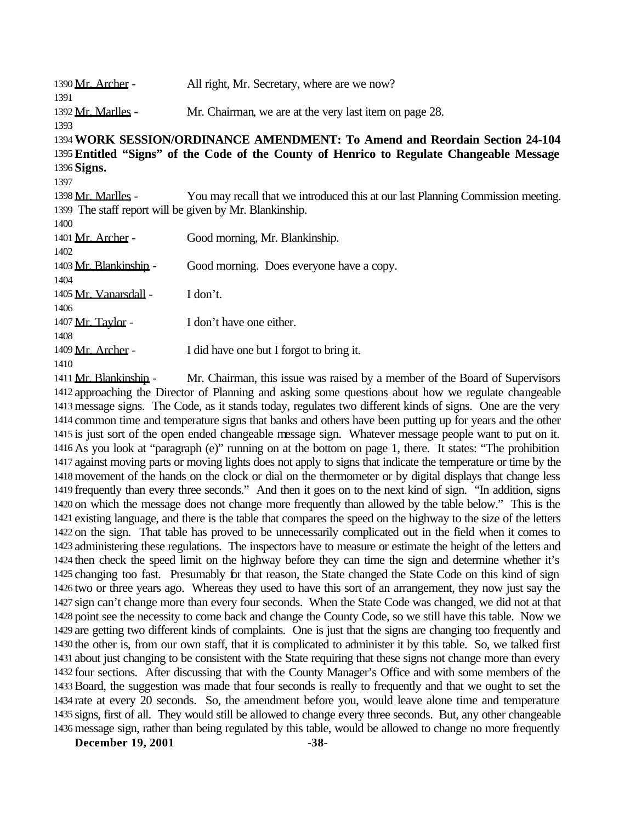| 1390 Mr. Archer -                                                                         | All right, Mr. Secretary, where are we now?                                     |  |
|-------------------------------------------------------------------------------------------|---------------------------------------------------------------------------------|--|
| 1391                                                                                      |                                                                                 |  |
| 1392 Mr. Marlles -                                                                        | Mr. Chairman, we are at the very last item on page 28.                          |  |
| 1393                                                                                      |                                                                                 |  |
|                                                                                           | 1394 WORK SESSION/ORDINANCE AMENDMENT: To Amend and Reordain Section 24-104     |  |
| 1395 Entitled "Signs" of the Code of the County of Henrico to Regulate Changeable Message |                                                                                 |  |
| 1396 Signs.                                                                               |                                                                                 |  |
| 1397                                                                                      |                                                                                 |  |
| 1398 Mr. Marlles -                                                                        | You may recall that we introduced this at our last Planning Commission meeting. |  |
| 1399 The staff report will be given by Mr. Blankinship.                                   |                                                                                 |  |
| 1400                                                                                      |                                                                                 |  |
| 1401 Mr. Archer -                                                                         | Good morning, Mr. Blankinship.                                                  |  |
| 1402                                                                                      |                                                                                 |  |
| 1403 Mr. Blankinshin -                                                                    | Good morning. Does everyone have a copy.                                        |  |
| 1404                                                                                      |                                                                                 |  |
| 1405 Mr. Vanarsdall -                                                                     | I don't.                                                                        |  |
| 1406                                                                                      |                                                                                 |  |
| 1407 Mr. Taylor -                                                                         | I don't have one either.                                                        |  |
| 1408                                                                                      |                                                                                 |  |
| 1409 Mr. Archer -                                                                         | I did have one but I forgot to bring it.                                        |  |
| 1410                                                                                      |                                                                                 |  |

 Mr. Blankinship - Mr. Chairman, this issue was raised by a member of the Board of Supervisors approaching the Director of Planning and asking some questions about how we regulate changeable message signs. The Code, as it stands today, regulates two different kinds of signs. One are the very common time and temperature signs that banks and others have been putting up for years and the other is just sort of the open ended changeable message sign. Whatever message people want to put on it. As you look at "paragraph (e)" running on at the bottom on page 1, there. It states: "The prohibition against moving parts or moving lights does not apply to signs that indicate the temperature or time by the movement of the hands on the clock or dial on the thermometer or by digital displays that change less frequently than every three seconds." And then it goes on to the next kind of sign. "In addition, signs on which the message does not change more frequently than allowed by the table below." This is the existing language, and there is the table that compares the speed on the highway to the size of the letters on the sign. That table has proved to be unnecessarily complicated out in the field when it comes to administering these regulations. The inspectors have to measure or estimate the height of the letters and then check the speed limit on the highway before they can time the sign and determine whether it's changing too fast. Presumably for that reason, the State changed the State Code on this kind of sign two or three years ago. Whereas they used to have this sort of an arrangement, they now just say the sign can't change more than every four seconds. When the State Code was changed, we did not at that point see the necessity to come back and change the County Code, so we still have this table. Now we are getting two different kinds of complaints. One is just that the signs are changing too frequently and the other is, from our own staff, that it is complicated to administer it by this table. So, we talked first about just changing to be consistent with the State requiring that these signs not change more than every four sections. After discussing that with the County Manager's Office and with some members of the Board, the suggestion was made that four seconds is really to frequently and that we ought to set the rate at every 20 seconds. So, the amendment before you, would leave alone time and temperature signs, first of all. They would still be allowed to change every three seconds. But, any other changeable message sign, rather than being regulated by this table, would be allowed to change no more frequently

**December 19, 2001 -38-**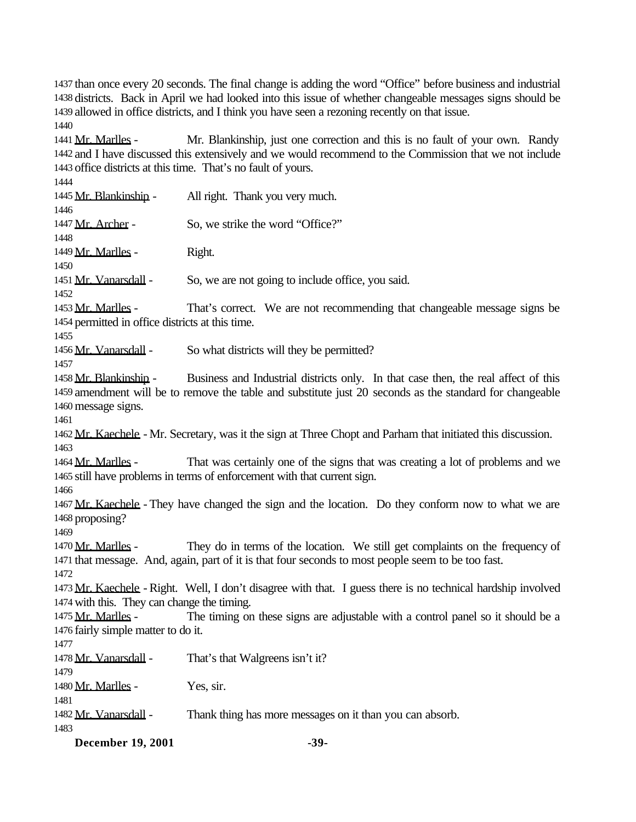than once every 20 seconds. The final change is adding the word "Office" before business and industrial districts. Back in April we had looked into this issue of whether changeable messages signs should be allowed in office districts, and I think you have seen a rezoning recently on that issue.

 Mr. Marlles - Mr. Blankinship, just one correction and this is no fault of your own. Randy and I have discussed this extensively and we would recommend to the Commission that we not include office districts at this time. That's no fault of yours.

 Mr. Blankinship - All right. Thank you very much. 1447 Mr. Archer - So, we strike the word "Office?" 1449 Mr. Marlles - Right. 1451 Mr. Vanarsdall - So, we are not going to include office, you said. 1453 Mr. Marlles - That's correct. We are not recommending that changeable message signs be permitted in office districts at this time. 1456 Mr. Vanarsdall - So what districts will they be permitted? 1458 Mr. Blankinship - Business and Industrial districts only. In that case then, the real affect of this amendment will be to remove the table and substitute just 20 seconds as the standard for changeable message signs. Mr. Kaechele - Mr. Secretary, was it the sign at Three Chopt and Parham that initiated this discussion. 1464 Mr. Marlles - That was certainly one of the signs that was creating a lot of problems and we still have problems in terms of enforcement with that current sign. 1467 Mr. Kaechele - They have changed the sign and the location. Do they conform now to what we are proposing? 1470 Mr. Marlles - They do in terms of the location. We still get complaints on the frequency of that message. And, again, part of it is that four seconds to most people seem to be too fast. Mr. Kaechele - Right. Well, I don't disagree with that. I guess there is no technical hardship involved with this. They can change the timing. 1475 Mr. Marlles - The timing on these signs are adjustable with a control panel so it should be a fairly simple matter to do it. Mr. Vanarsdall - That's that Walgreens isn't it? Mr. Marlles - Yes, sir. Mr. Vanarsdall - Thank thing has more messages on it than you can absorb. 

**December 19, 2001 -39-**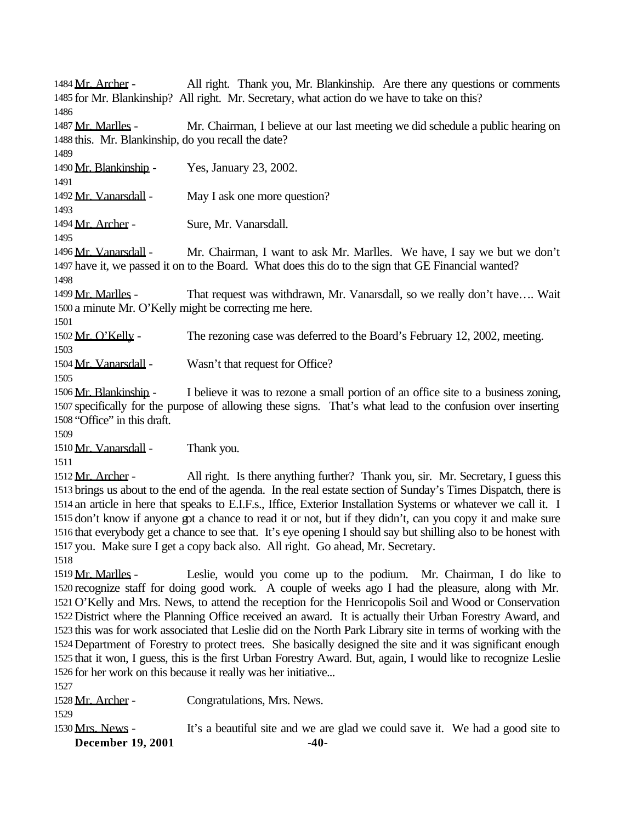1484 Mr. Archer - All right. Thank you, Mr. Blankinship. Are there any questions or comments for Mr. Blankinship? All right. Mr. Secretary, what action do we have to take on this? 1487 Mr. Marlles - Mr. Chairman, I believe at our last meeting we did schedule a public hearing on this. Mr. Blankinship, do you recall the date? Mr. Blankinship - Yes, January 23, 2002. Mr. Vanarsdall - May I ask one more question? Mr. Archer - Sure, Mr. Vanarsdall. 1496 Mr. Vanarsdall - Mr. Chairman, I want to ask Mr. Marlles. We have, I say we but we don't have it, we passed it on to the Board. What does this do to the sign that GE Financial wanted? 1499 Mr. Marlles - That request was withdrawn, Mr. Vanarsdall, so we really don't have.... Wait a minute Mr. O'Kelly might be correcting me here. 1502 Mr. O'Kelly - The rezoning case was deferred to the Board's February 12, 2002, meeting. Mr. Vanarsdall - Wasn't that request for Office? Mr. Blankinship - I believe it was to rezone a small portion of an office site to a business zoning, specifically for the purpose of allowing these signs. That's what lead to the confusion over inserting "Office" in this draft. Mr. Vanarsdall - Thank you. 1512 Mr. Archer - All right. Is there anything further? Thank you, sir. Mr. Secretary, I guess this brings us about to the end of the agenda. In the real estate section of Sunday's Times Dispatch, there is an article in here that speaks to E.I.F.s., Iffice, Exterior Installation Systems or whatever we call it. I don't know if anyone got a chance to read it or not, but if they didn't, can you copy it and make sure that everybody get a chance to see that. It's eye opening I should say but shilling also to be honest with you. Make sure I get a copy back also. All right. Go ahead, Mr. Secretary. 1519 Mr. Marlles - Leslie, would you come up to the podium. Mr. Chairman, I do like to recognize staff for doing good work. A couple of weeks ago I had the pleasure, along with Mr. O'Kelly and Mrs. News, to attend the reception for the Henricopolis Soil and Wood or Conservation District where the Planning Office received an award. It is actually their Urban Forestry Award, and this was for work associated that Leslie did on the North Park Library site in terms of working with the Department of Forestry to protect trees. She basically designed the site and it was significant enough that it won, I guess, this is the first Urban Forestry Award. But, again, I would like to recognize Leslie for her work on this because it really was her initiative... 

1528 Mr. Archer - Congratulations, Mrs. News.

1530 Mrs. News - It's a beautiful site and we are glad we could save it. We had a good site to

**December 19, 2001 -40-**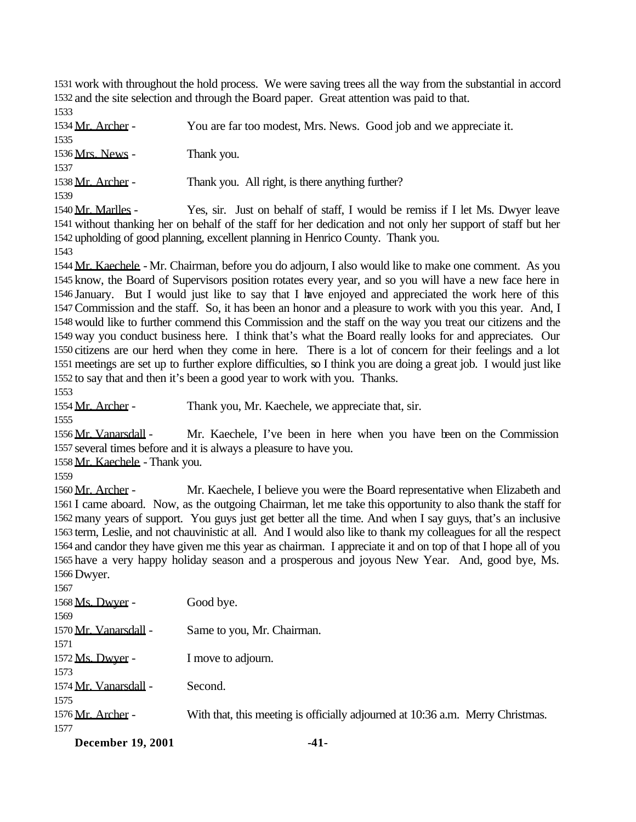work with throughout the hold process. We were saving trees all the way from the substantial in accord and the site selection and through the Board paper. Great attention was paid to that.

| 1534 Mr. Archer -                                      | You are far too modest, Mrs. News. Good job and we appreciate it. |
|--------------------------------------------------------|-------------------------------------------------------------------|
| 1535                                                   |                                                                   |
| 1536 Mrs. News -                                       | Thank you.                                                        |
| 1537                                                   |                                                                   |
| 1538 Mr. Archer -                                      | Thank you. All right, is there anything further?                  |
| 1539                                                   |                                                                   |
| $1540$ M <sub>m</sub> M <sub>am</sub> ll <sub>ag</sub> | Vector Luck on behelf of staff I mould be moving if I let Me Drug |

1540 Mr. Marlles - Yes, sir. Just on behalf of staff, I would be remiss if I let Ms. Dwyer leave without thanking her on behalf of the staff for her dedication and not only her support of staff but her upholding of good planning, excellent planning in Henrico County. Thank you.

 Mr. Kaechele - Mr. Chairman, before you do adjourn, I also would like to make one comment. As you know, the Board of Supervisors position rotates every year, and so you will have a new face here in January. But I would just like to say that I have enjoyed and appreciated the work here of this Commission and the staff. So, it has been an honor and a pleasure to work with you this year. And, I would like to further commend this Commission and the staff on the way you treat our citizens and the way you conduct business here. I think that's what the Board really looks for and appreciates. Our citizens are our herd when they come in here. There is a lot of concern for their feelings and a lot meetings are set up to further explore difficulties, so I think you are doing a great job. I would just like to say that and then it's been a good year to work with you. Thanks.

1554 Mr. Archer - Thank you, Mr. Kaechele, we appreciate that, sir.

1556 Mr. Vanarsdall - Mr. Kaechele, I've been in here when you have been on the Commission several times before and it is always a pleasure to have you.

Mr. Kaechele - Thank you.

1560 Mr. Archer - Mr. Kaechele, I believe you were the Board representative when Elizabeth and I came aboard. Now, as the outgoing Chairman, let me take this opportunity to also thank the staff for many years of support. You guys just get better all the time. And when I say guys, that's an inclusive term, Leslie, and not chauvinistic at all. And I would also like to thank my colleagues for all the respect and candor they have given me this year as chairman. I appreciate it and on top of that I hope all of you have a very happy holiday season and a prosperous and joyous New Year. And, good bye, Ms. Dwyer.

| $D_{\text{max}}$ 10 0001 | A 1                                                                            |
|--------------------------|--------------------------------------------------------------------------------|
| 1577                     |                                                                                |
| 1576 Mr. Archer -        | With that, this meeting is officially adjourned at 10:36 a.m. Merry Christmas. |
| 1575                     |                                                                                |
| 1574 Mr. Vanarsdall -    | Second.                                                                        |
| 1573                     |                                                                                |
| 1572 Ms. Dwyer -         | I move to adjourn.                                                             |
| 1571                     |                                                                                |
| 1570 Mr. Vanarsdall -    | Same to you, Mr. Chairman.                                                     |
| 1569                     |                                                                                |
| 1568 Ms. Dwyer -         | Good bye.                                                                      |
| 1567                     |                                                                                |

**December 19, 2001 -41-**